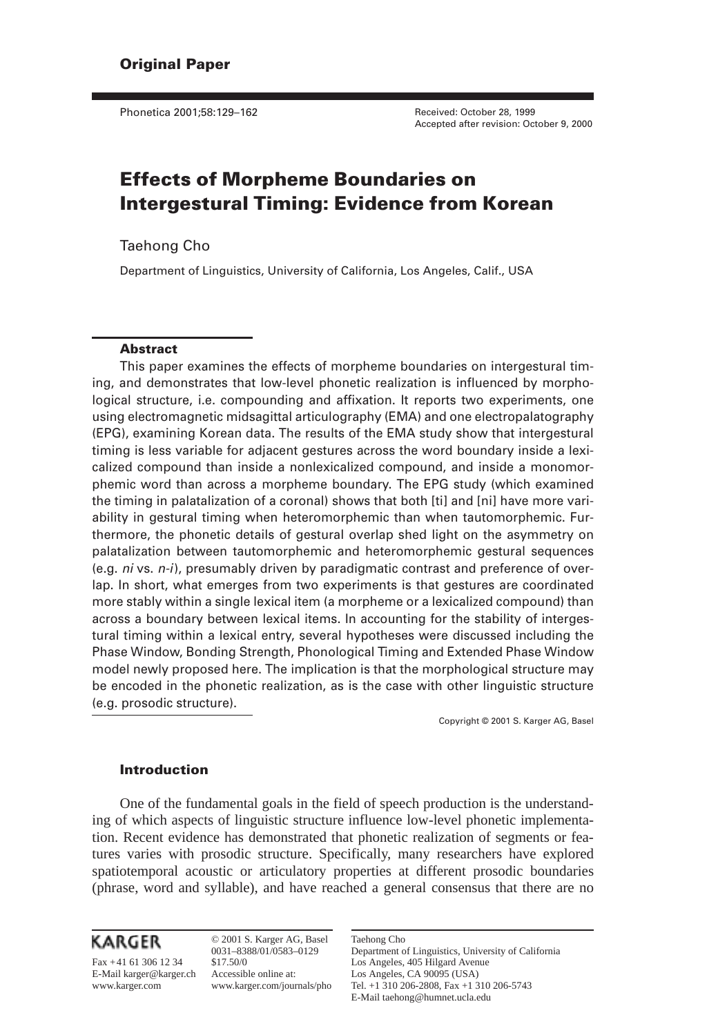Phonetica 2001;58:129–162

Received: October 28, 1999 Accepted after revision: October 9, 2000

# **Effects of Morpheme Boundaries on Intergestural Timing: Evidence from Korean**

Taehong Cho

Department of Linguistics, University of California, Los Angeles, Calif., USA

### **Abstract**

This paper examines the effects of morpheme boundaries on intergestural timing, and demonstrates that low-level phonetic realization is influenced by morphological structure, i.e. compounding and affixation. It reports two experiments, one using electromagnetic midsagittal articulography (EMA) and one electropalatography (EPG), examining Korean data. The results of the EMA study show that intergestural timing is less variable for adjacent gestures across the word boundary inside a lexicalized compound than inside a nonlexicalized compound, and inside a monomorphemic word than across a morpheme boundary. The EPG study (which examined the timing in palatalization of a coronal) shows that both [ti] and [ni] have more variability in gestural timing when heteromorphemic than when tautomorphemic. Furthermore, the phonetic details of gestural overlap shed light on the asymmetry on palatalization between tautomorphemic and heteromorphemic gestural sequences (e.g. ni vs. n-i), presumably driven by paradigmatic contrast and preference of overlap. In short, what emerges from two experiments is that gestures are coordinated more stably within a single lexical item (a morpheme or a lexicalized compound) than across a boundary between lexical items. In accounting for the stability of intergestural timing within a lexical entry, several hypotheses were discussed including the Phase Window, Bonding Strength, Phonological Timing and Extended Phase Window model newly proposed here. The implication is that the morphological structure may be encoded in the phonetic realization, as is the case with other linguistic structure (e.g. prosodic structure).

Copyright © 2001 S. Karger AG, Basel

# **Introduction**

One of the fundamental goals in the field of speech production is the understanding of which aspects of linguistic structure influence low-level phonetic implementation. Recent evidence has demonstrated that phonetic realization of segments or features varies with prosodic structure. Specifically, many researchers have explored spatiotemporal acoustic or articulatory properties at different prosodic boundaries (phrase, word and syllable), and have reached a general consensus that there are no

KARGER

Fax +41 61 306 12 34 \$17.50/0<br>E-Mail karger@karger.ch Accessible online at: E-Mail karger@karger.ch<br>www.karger.com

© 2001 S. Karger AG, Basel 0031-8388/01/0583-0129<br>\$17.50/0 www.karger.com/journals/pho Taehong Cho Department of Linguistics, University of California Los Angeles, 405 Hilgard Avenue Los Angeles, CA 90095 (USA) Tel. +1 310 206-2808, Fax +1 310 206-5743 E-Mail taehong@humnet.ucla.edu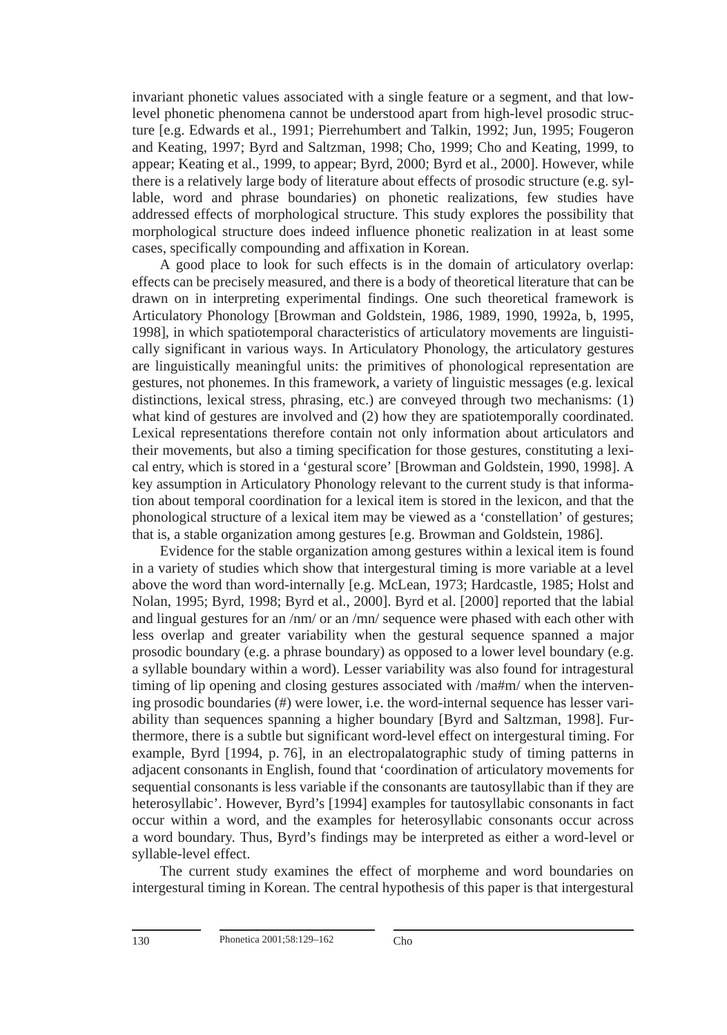invariant phonetic values associated with a single feature or a segment, and that lowlevel phonetic phenomena cannot be understood apart from high-level prosodic structure [e.g. Edwards et al., 1991; Pierrehumbert and Talkin, 1992; Jun, 1995; Fougeron and Keating, 1997; Byrd and Saltzman, 1998; Cho, 1999; Cho and Keating, 1999, to appear; Keating et al., 1999, to appear; Byrd, 2000; Byrd et al., 2000]. However, while there is a relatively large body of literature about effects of prosodic structure (e.g. syllable, word and phrase boundaries) on phonetic realizations, few studies have addressed effects of morphological structure. This study explores the possibility that morphological structure does indeed influence phonetic realization in at least some cases, specifically compounding and affixation in Korean.

A good place to look for such effects is in the domain of articulatory overlap: effects can be precisely measured, and there is a body of theoretical literature that can be drawn on in interpreting experimental findings. One such theoretical framework is Articulatory Phonology [Browman and Goldstein, 1986, 1989, 1990, 1992a, b, 1995, 1998], in which spatiotemporal characteristics of articulatory movements are linguistically significant in various ways. In Articulatory Phonology, the articulatory gestures are linguistically meaningful units: the primitives of phonological representation are gestures, not phonemes. In this framework, a variety of linguistic messages (e.g. lexical distinctions, lexical stress, phrasing, etc.) are conveyed through two mechanisms: (1) what kind of gestures are involved and (2) how they are spatiotemporally coordinated. Lexical representations therefore contain not only information about articulators and their movements, but also a timing specification for those gestures, constituting a lexical entry, which is stored in a 'gestural score' [Browman and Goldstein, 1990, 1998]. A key assumption in Articulatory Phonology relevant to the current study is that information about temporal coordination for a lexical item is stored in the lexicon, and that the phonological structure of a lexical item may be viewed as a 'constellation' of gestures; that is, a stable organization among gestures [e.g. Browman and Goldstein, 1986].

Evidence for the stable organization among gestures within a lexical item is found in a variety of studies which show that intergestural timing is more variable at a level above the word than word-internally [e.g. McLean, 1973; Hardcastle, 1985; Holst and Nolan, 1995; Byrd, 1998; Byrd et al., 2000]. Byrd et al. [2000] reported that the labial and lingual gestures for an /nm/ or an /mn/ sequence were phased with each other with less overlap and greater variability when the gestural sequence spanned a major prosodic boundary (e.g. a phrase boundary) as opposed to a lower level boundary (e.g. a syllable boundary within a word). Lesser variability was also found for intragestural timing of lip opening and closing gestures associated with /ma#m/ when the intervening prosodic boundaries (#) were lower, i.e. the word-internal sequence has lesser variability than sequences spanning a higher boundary [Byrd and Saltzman, 1998]. Furthermore, there is a subtle but significant word-level effect on intergestural timing. For example, Byrd [1994, p. 76], in an electropalatographic study of timing patterns in adjacent consonants in English, found that 'coordination of articulatory movements for sequential consonants is less variable if the consonants are tautosyllabic than if they are heterosyllabic'. However, Byrd's [1994] examples for tautosyllabic consonants in fact occur within a word, and the examples for heterosyllabic consonants occur across a word boundary. Thus, Byrd's findings may be interpreted as either a word-level or syllable-level effect.

The current study examines the effect of morpheme and word boundaries on intergestural timing in Korean. The central hypothesis of this paper is that intergestural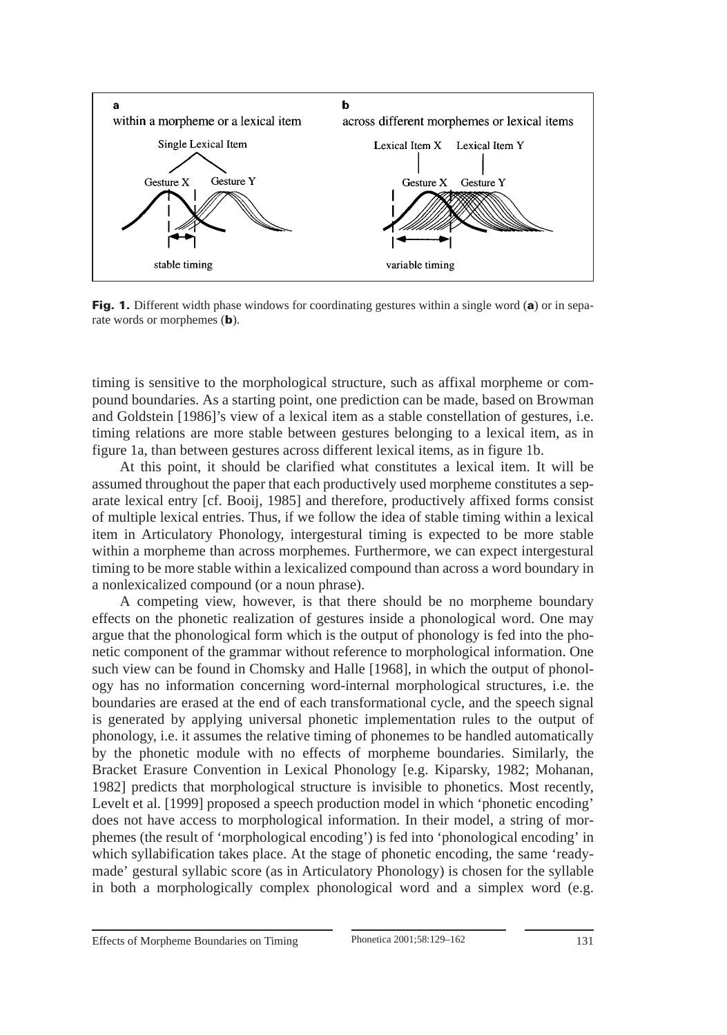

**Fig. 1.** Different width phase windows for coordinating gestures within a single word (**a**) or in separate words or morphemes (**b**).

timing is sensitive to the morphological structure, such as affixal morpheme or compound boundaries. As a starting point, one prediction can be made, based on Browman and Goldstein [1986]'s view of a lexical item as a stable constellation of gestures, i.e. timing relations are more stable between gestures belonging to a lexical item, as in figure 1a, than between gestures across different lexical items, as in figure 1b.

At this point, it should be clarified what constitutes a lexical item. It will be assumed throughout the paper that each productively used morpheme constitutes a separate lexical entry [cf. Booij, 1985] and therefore, productively affixed forms consist of multiple lexical entries. Thus, if we follow the idea of stable timing within a lexical item in Articulatory Phonology, intergestural timing is expected to be more stable within a morpheme than across morphemes. Furthermore, we can expect intergestural timing to be more stable within a lexicalized compound than across a word boundary in a nonlexicalized compound (or a noun phrase).

A competing view, however, is that there should be no morpheme boundary effects on the phonetic realization of gestures inside a phonological word. One may argue that the phonological form which is the output of phonology is fed into the phonetic component of the grammar without reference to morphological information. One such view can be found in Chomsky and Halle [1968], in which the output of phonology has no information concerning word-internal morphological structures, i.e. the boundaries are erased at the end of each transformational cycle, and the speech signal is generated by applying universal phonetic implementation rules to the output of phonology, i.e. it assumes the relative timing of phonemes to be handled automatically by the phonetic module with no effects of morpheme boundaries. Similarly, the Bracket Erasure Convention in Lexical Phonology [e.g. Kiparsky, 1982; Mohanan, 1982] predicts that morphological structure is invisible to phonetics. Most recently, Levelt et al. [1999] proposed a speech production model in which 'phonetic encoding' does not have access to morphological information. In their model, a string of morphemes (the result of 'morphological encoding') is fed into 'phonological encoding' in which syllabification takes place. At the stage of phonetic encoding, the same 'readymade' gestural syllabic score (as in Articulatory Phonology) is chosen for the syllable in both a morphologically complex phonological word and a simplex word (e.g.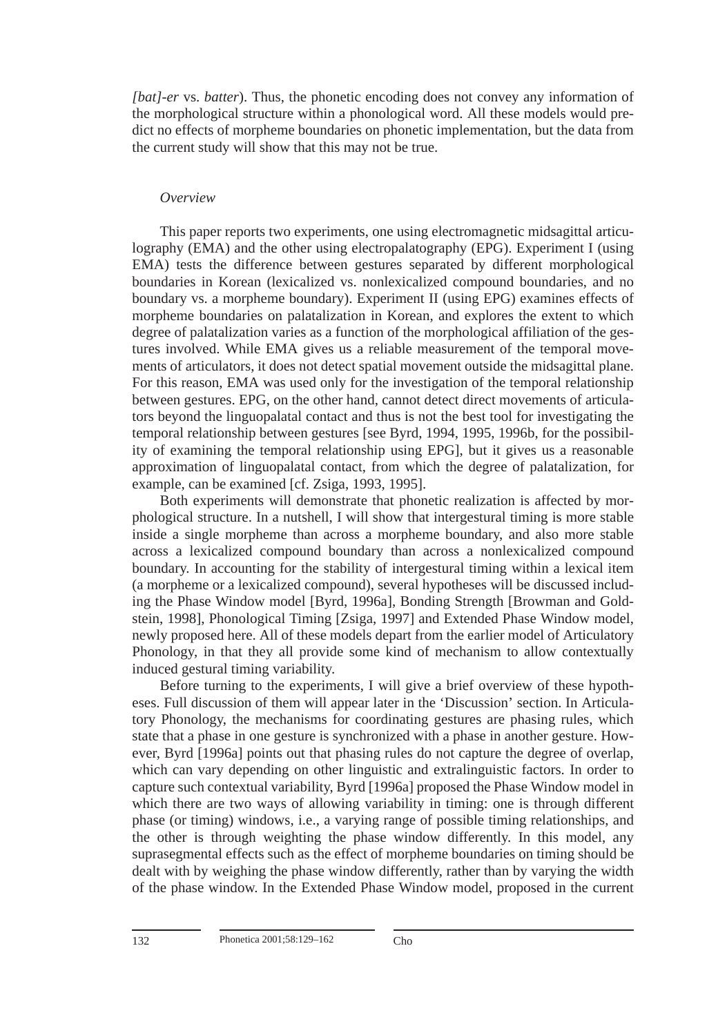*[bat]-er* vs. *batter*). Thus, the phonetic encoding does not convey any information of the morphological structure within a phonological word. All these models would predict no effects of morpheme boundaries on phonetic implementation, but the data from the current study will show that this may not be true.

# *Overview*

This paper reports two experiments, one using electromagnetic midsagittal articulography (EMA) and the other using electropalatography (EPG). Experiment I (using EMA) tests the difference between gestures separated by different morphological boundaries in Korean (lexicalized vs. nonlexicalized compound boundaries, and no boundary vs. a morpheme boundary). Experiment II (using EPG) examines effects of morpheme boundaries on palatalization in Korean, and explores the extent to which degree of palatalization varies as a function of the morphological affiliation of the gestures involved. While EMA gives us a reliable measurement of the temporal movements of articulators, it does not detect spatial movement outside the midsagittal plane. For this reason, EMA was used only for the investigation of the temporal relationship between gestures. EPG, on the other hand, cannot detect direct movements of articulators beyond the linguopalatal contact and thus is not the best tool for investigating the temporal relationship between gestures [see Byrd, 1994, 1995, 1996b, for the possibility of examining the temporal relationship using EPG], but it gives us a reasonable approximation of linguopalatal contact, from which the degree of palatalization, for example, can be examined [cf. Zsiga, 1993, 1995].

Both experiments will demonstrate that phonetic realization is affected by morphological structure. In a nutshell, I will show that intergestural timing is more stable inside a single morpheme than across a morpheme boundary, and also more stable across a lexicalized compound boundary than across a nonlexicalized compound boundary. In accounting for the stability of intergestural timing within a lexical item (a morpheme or a lexicalized compound), several hypotheses will be discussed including the Phase Window model [Byrd, 1996a], Bonding Strength [Browman and Goldstein, 1998], Phonological Timing [Zsiga, 1997] and Extended Phase Window model, newly proposed here. All of these models depart from the earlier model of Articulatory Phonology, in that they all provide some kind of mechanism to allow contextually induced gestural timing variability.

Before turning to the experiments, I will give a brief overview of these hypotheses. Full discussion of them will appear later in the 'Discussion' section. In Articulatory Phonology, the mechanisms for coordinating gestures are phasing rules, which state that a phase in one gesture is synchronized with a phase in another gesture. However, Byrd [1996a] points out that phasing rules do not capture the degree of overlap, which can vary depending on other linguistic and extralinguistic factors. In order to capture such contextual variability, Byrd [1996a] proposed the Phase Window model in which there are two ways of allowing variability in timing: one is through different phase (or timing) windows, i.e., a varying range of possible timing relationships, and the other is through weighting the phase window differently. In this model, any suprasegmental effects such as the effect of morpheme boundaries on timing should be dealt with by weighing the phase window differently, rather than by varying the width of the phase window. In the Extended Phase Window model, proposed in the current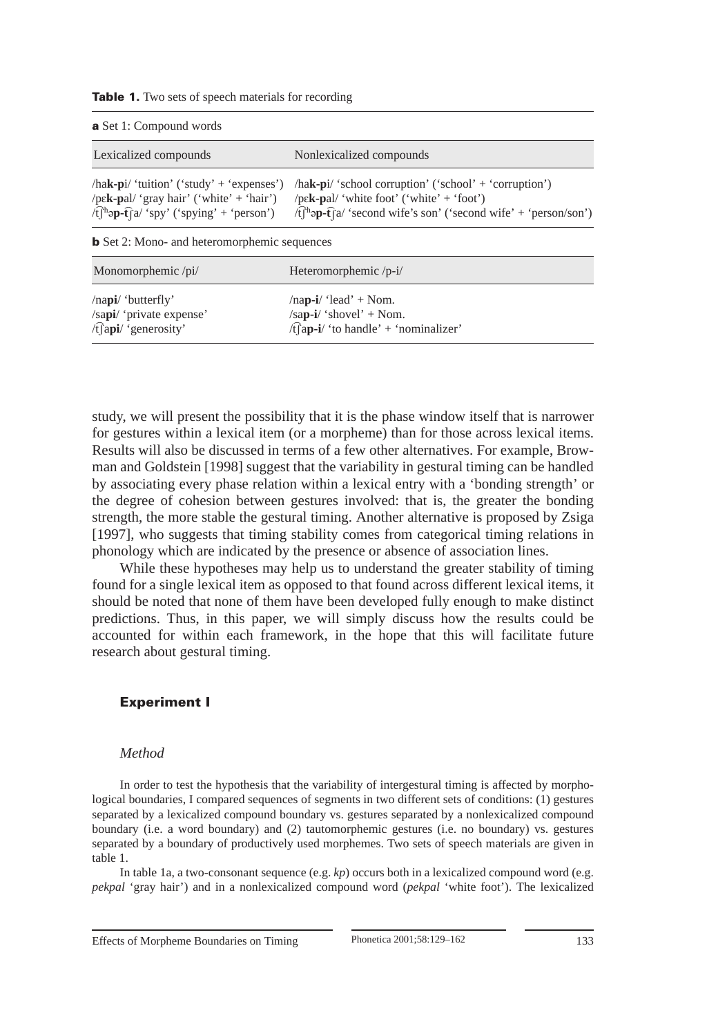|  |  |  |  |  |  |  |  | <b>Table 1.</b> Two sets of speech materials for recording |
|--|--|--|--|--|--|--|--|------------------------------------------------------------|
|--|--|--|--|--|--|--|--|------------------------------------------------------------|

| <b>a</b> Set 1: Compound words                                                                                                                                                                       |                                                                                                                                                                                                                                       |
|------------------------------------------------------------------------------------------------------------------------------------------------------------------------------------------------------|---------------------------------------------------------------------------------------------------------------------------------------------------------------------------------------------------------------------------------------|
| Lexicalized compounds                                                                                                                                                                                | Nonlexicalized compounds                                                                                                                                                                                                              |
| $/hak$ -pi/ 'tuition' ('study' + 'expenses')<br>$\beta$ /pe <b>k-p</b> al/ 'gray hair' ('white' + 'hair')<br>$\sqrt{t}$ $\int_0^h$ $\phi$ <b>p</b> - $\int_0^h$ $\alpha$ 'spy' ('spying' + 'person') | $/ha$ <b>k-p</b> i/'school corruption' ('school' + 'corruption')<br>$/$ pe <b>k-p</b> al/ 'white foot' ('white' + 'foot')<br>$\int \int_0^h \rho \mathbf{p} \cdot \mathbf{f} \rho$ 'second wife's son' ('second wife' + 'person/son') |
| <b>b</b> Set 2: Mono- and heteromorphemic sequences                                                                                                                                                  |                                                                                                                                                                                                                                       |
| Monomorphemic/pi/                                                                                                                                                                                    | Heteromorphemic $/p-i/$                                                                                                                                                                                                               |
| $/$ napi $/$ 'butterfly'<br>/sapi/ 'private expense'<br>/t͡japi/ 'generosity'                                                                                                                        | $/$ na <b>p-i</b> $/$ 'lead' + Nom.<br>$/sap-i/ 'shovel' + Nom.$<br>$\pi$ ap-i/ 'to handle' + 'nominalizer'                                                                                                                           |

study, we will present the possibility that it is the phase window itself that is narrower for gestures within a lexical item (or a morpheme) than for those across lexical items. Results will also be discussed in terms of a few other alternatives. For example, Browman and Goldstein [1998] suggest that the variability in gestural timing can be handled by associating every phase relation within a lexical entry with a 'bonding strength' or the degree of cohesion between gestures involved: that is, the greater the bonding strength, the more stable the gestural timing. Another alternative is proposed by Zsiga [1997], who suggests that timing stability comes from categorical timing relations in phonology which are indicated by the presence or absence of association lines.

While these hypotheses may help us to understand the greater stability of timing found for a single lexical item as opposed to that found across different lexical items, it should be noted that none of them have been developed fully enough to make distinct predictions. Thus, in this paper, we will simply discuss how the results could be accounted for within each framework, in the hope that this will facilitate future research about gestural timing.

# **Experiment I**

#### *Method*

In order to test the hypothesis that the variability of intergestural timing is affected by morphological boundaries, I compared sequences of segments in two different sets of conditions: (1) gestures separated by a lexicalized compound boundary vs. gestures separated by a nonlexicalized compound boundary (i.e. a word boundary) and (2) tautomorphemic gestures (i.e. no boundary) vs. gestures separated by a boundary of productively used morphemes. Two sets of speech materials are given in table 1.

In table 1a, a two-consonant sequence (e.g. *kp*) occurs both in a lexicalized compound word (e.g. *pekpal* 'gray hair') and in a nonlexicalized compound word (*pekpal* 'white foot'). The lexicalized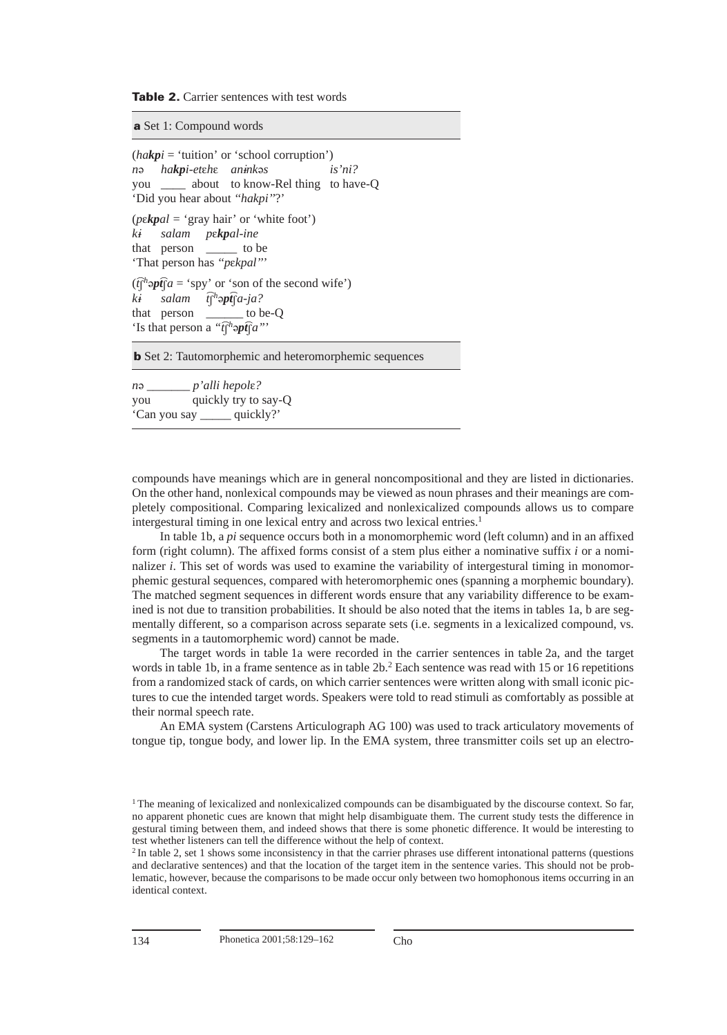**Table 2.** Carrier sentences with test words

**a** Set 1: Compound words

(*hakpi* = 'tuition' or 'school corruption') *n*<sup>3</sup> *hakpi-et* $\epsilon$ *hh*<sub>*a*</sub> *hakpi-et* $\epsilon$ *h*<sub>*k*</sub> *animk* $\alpha$ *s is'ni?* you \_\_\_\_ about to know-Rel thing to have-Q 'Did you hear about *''hakpi''*?' (*p*£*kpal =* 'gray hair' or 'white foot')  $k$ *i salam pekpal-ine* that person \_\_\_\_\_ to be 'That person has *''p*£*kpal''*'  $(f\hat{f}^h$  $\phi \hat{f}$  $\hat{f}$  $a = '$ spy' or 'son of the second wife')  $k$ **i** salam if<sup>h</sup>əpifa-ja? that person to be-Q 'Is that person a " $\widehat{t}^{h}$  $\Rightarrow$  $\widehat{t}^{R}$ " **b** Set 2: Tautomorphemic and heteromorphemic sequences

*n*˜ *\_\_\_\_\_\_\_ p'alli hepol*£*?* you quickly try to say-Q 'Can you say \_\_\_\_\_ quickly?'

compounds have meanings which are in general noncompositional and they are listed in dictionaries. On the other hand, nonlexical compounds may be viewed as noun phrases and their meanings are completely compositional. Comparing lexicalized and nonlexicalized compounds allows us to compare intergestural timing in one lexical entry and across two lexical entries.<sup>1</sup>

In table 1b, a *pi* sequence occurs both in a monomorphemic word (left column) and in an affixed form (right column). The affixed forms consist of a stem plus either a nominative suffix *i* or a nominalizer *i*. This set of words was used to examine the variability of intergestural timing in monomorphemic gestural sequences, compared with heteromorphemic ones (spanning a morphemic boundary). The matched segment sequences in different words ensure that any variability difference to be examined is not due to transition probabilities. It should be also noted that the items in tables 1a, b are segmentally different, so a comparison across separate sets (i.e. segments in a lexicalized compound, vs. segments in a tautomorphemic word) cannot be made.

The target words in table 1a were recorded in the carrier sentences in table 2a, and the target words in table 1b, in a frame sentence as in table 2b.<sup>2</sup> Each sentence was read with 15 or 16 repetitions from a randomized stack of cards, on which carrier sentences were written along with small iconic pictures to cue the intended target words. Speakers were told to read stimuli as comfortably as possible at their normal speech rate.

An EMA system (Carstens Articulograph AG 100) was used to track articulatory movements of tongue tip, tongue body, and lower lip. In the EMA system, three transmitter coils set up an electro-

<sup>&</sup>lt;sup>1</sup> The meaning of lexicalized and nonlexicalized compounds can be disambiguated by the discourse context. So far, no apparent phonetic cues are known that might help disambiguate them. The current study tests the difference in gestural timing between them, and indeed shows that there is some phonetic difference. It would be interesting to test whether listeners can tell the difference without the help of context.

<sup>&</sup>lt;sup>2</sup> In table 2, set 1 shows some inconsistency in that the carrier phrases use different intonational patterns (questions and declarative sentences) and that the location of the target item in the sentence varies. This should not be problematic, however, because the comparisons to be made occur only between two homophonous items occurring in an identical context.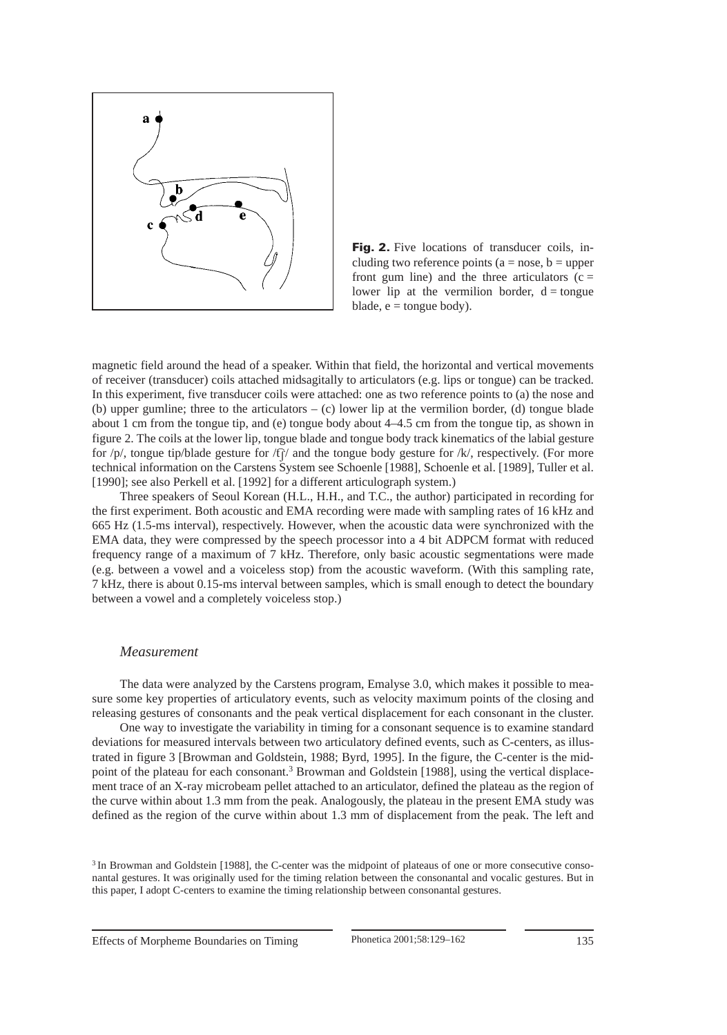

**Fig. 2.** Five locations of transducer coils, including two reference points ( $a = n$ ose,  $b =$ upper front gum line) and the three articulators  $(c =$ lower lip at the vermilion border,  $d =$ tongue blade,  $e =$  tongue body).

magnetic field around the head of a speaker. Within that field, the horizontal and vertical movements of receiver (transducer) coils attached midsagitally to articulators (e.g. lips or tongue) can be tracked. In this experiment, five transducer coils were attached: one as two reference points to (a) the nose and (b) upper gumline; three to the articulators  $-$  (c) lower lip at the vermilion border, (d) tongue blade about 1 cm from the tongue tip, and (e) tongue body about 4–4.5 cm from the tongue tip, as shown in figure 2. The coils at the lower lip, tongue blade and tongue body track kinematics of the labial gesture for  $/p/$ , tongue tip/blade gesture for  $/|f|/$  and the tongue body gesture for  $/k/$ , respectively. (For more technical information on the Carstens System see Schoenle [1988], Schoenle et al. [1989], Tuller et al. [1990]; see also Perkell et al. [1992] for a different articulograph system.)

Three speakers of Seoul Korean (H.L., H.H., and T.C., the author) participated in recording for the first experiment. Both acoustic and EMA recording were made with sampling rates of 16 kHz and 665 Hz (1.5-ms interval), respectively. However, when the acoustic data were synchronized with the EMA data, they were compressed by the speech processor into a 4 bit ADPCM format with reduced frequency range of a maximum of 7 kHz. Therefore, only basic acoustic segmentations were made (e.g. between a vowel and a voiceless stop) from the acoustic waveform. (With this sampling rate, 7 kHz, there is about 0.15-ms interval between samples, which is small enough to detect the boundary between a vowel and a completely voiceless stop.)

#### *Measurement*

The data were analyzed by the Carstens program, Emalyse 3.0, which makes it possible to measure some key properties of articulatory events, such as velocity maximum points of the closing and releasing gestures of consonants and the peak vertical displacement for each consonant in the cluster.

One way to investigate the variability in timing for a consonant sequence is to examine standard deviations for measured intervals between two articulatory defined events, such as C-centers, as illustrated in figure 3 [Browman and Goldstein, 1988; Byrd, 1995]. In the figure, the C-center is the midpoint of the plateau for each consonant.<sup>3</sup> Browman and Goldstein [1988], using the vertical displacement trace of an X-ray microbeam pellet attached to an articulator, defined the plateau as the region of the curve within about 1.3 mm from the peak. Analogously, the plateau in the present EMA study was defined as the region of the curve within about 1.3 mm of displacement from the peak. The left and

<sup>3</sup> In Browman and Goldstein [1988], the C-center was the midpoint of plateaus of one or more consecutive consonantal gestures. It was originally used for the timing relation between the consonantal and vocalic gestures. But in this paper, I adopt C-centers to examine the timing relationship between consonantal gestures.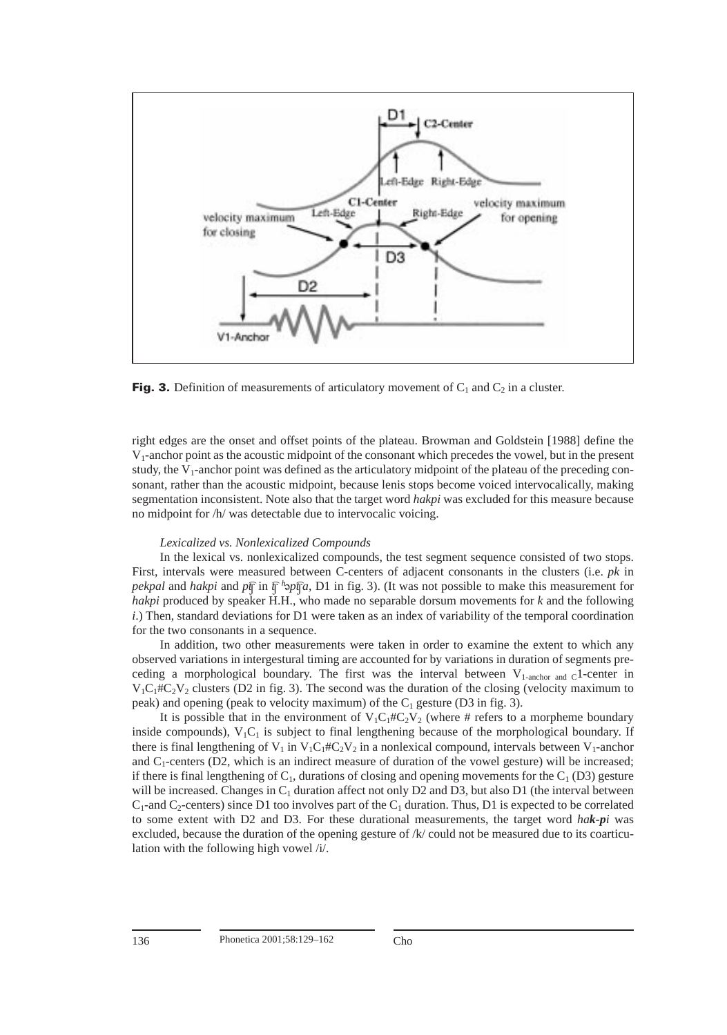

**Fig. 3.** Definition of measurements of articulatory movement of  $C_1$  and  $C_2$  in a cluster.

right edges are the onset and offset points of the plateau. Browman and Goldstein [1988] define the  $V_1$ -anchor point as the acoustic midpoint of the consonant which precedes the vowel, but in the present study, the  $V_1$ -anchor point was defined as the articulatory midpoint of the plateau of the preceding consonant, rather than the acoustic midpoint, because lenis stops become voiced intervocalically, making segmentation inconsistent. Note also that the target word *hakpi* was excluded for this measure because no midpoint for /h/ was detectable due to intervocalic voicing.

#### *Lexicalized vs. Nonlexicalized Compounds*

In the lexical vs. nonlexicalized compounds, the test segment sequence consisted of two stops. First, intervals were measured between C-centers of adjacent consonants in the clusters (i.e. *pk* in *pekpal* and *hakpi* and *pf*<sub></sub> in  $\hat{f}$  <sup>*h*</sup> $p$ *f*<sub> $f$ </sub><sup> $a$ </sup>, D1 in fig. 3). (It was not possible to make this measurement for *hakpi* produced by speaker H.H., who made no separable dorsum movements for *k* and the following *i*.) Then, standard deviations for D1 were taken as an index of variability of the temporal coordination for the two consonants in a sequence.

In addition, two other measurements were taken in order to examine the extent to which any observed variations in intergestural timing are accounted for by variations in duration of segments preceding a morphological boundary. The first was the interval between  $V_{1\text{-anchor and }C}1\text{-center in}$  $V_1C_1$ #C<sub>2</sub>V<sub>2</sub> clusters (D2 in fig. 3). The second was the duration of the closing (velocity maximum to peak) and opening (peak to velocity maximum) of the  $C_1$  gesture (D3 in fig. 3).

It is possible that in the environment of  $V_1C_1\#C_2V_2$  (where # refers to a morpheme boundary inside compounds),  $V_1C_1$  is subject to final lengthening because of the morphological boundary. If there is final lengthening of  $V_1$  in  $V_1C_1$ #C<sub>2</sub>V<sub>2</sub> in a nonlexical compound, intervals between V<sub>1</sub>-anchor and C<sub>1</sub>-centers (D2, which is an indirect measure of duration of the vowel gesture) will be increased; if there is final lengthening of  $C_1$ , durations of closing and opening movements for the  $C_1$  (D3) gesture will be increased. Changes in  $C_1$  duration affect not only D2 and D3, but also D1 (the interval between  $C_1$ -and  $C_2$ -centers) since D1 too involves part of the  $C_1$  duration. Thus, D1 is expected to be correlated to some extent with D2 and D3. For these durational measurements, the target word *hak-pi* was excluded, because the duration of the opening gesture of /k/ could not be measured due to its coarticulation with the following high vowel /i/.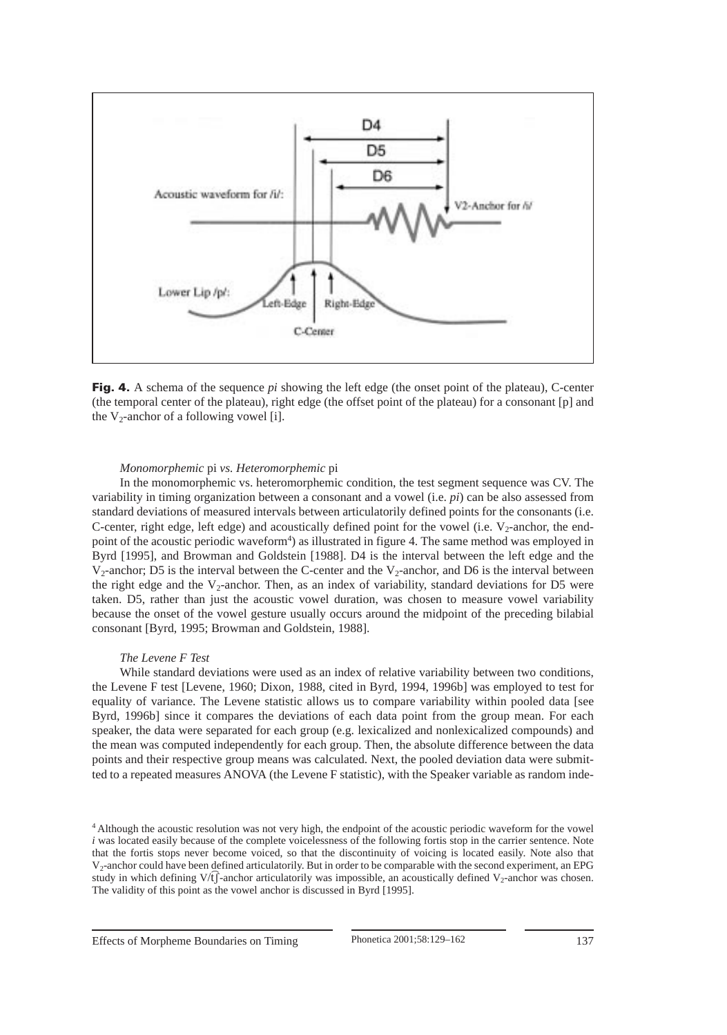



#### *Monomorphemic* pi *vs. Heteromorphemic* pi

In the monomorphemic vs. heteromorphemic condition, the test segment sequence was CV. The variability in timing organization between a consonant and a vowel (i.e. *pi*) can be also assessed from standard deviations of measured intervals between articulatorily defined points for the consonants (i.e. C-center, right edge, left edge) and acoustically defined point for the vowel (i.e.  $V_2$ -anchor, the endpoint of the acoustic periodic waveform<sup>4</sup>) as illustrated in figure 4. The same method was employed in Byrd [1995], and Browman and Goldstein [1988]. D4 is the interval between the left edge and the  $V_2$ -anchor; D5 is the interval between the C-center and the  $V_2$ -anchor, and D6 is the interval between the right edge and the  $V_2$ -anchor. Then, as an index of variability, standard deviations for D5 were taken. D5, rather than just the acoustic vowel duration, was chosen to measure vowel variability because the onset of the vowel gesture usually occurs around the midpoint of the preceding bilabial consonant [Byrd, 1995; Browman and Goldstein, 1988].

#### *The Levene F Test*

While standard deviations were used as an index of relative variability between two conditions, the Levene F test [Levene, 1960; Dixon, 1988, cited in Byrd, 1994, 1996b] was employed to test for equality of variance. The Levene statistic allows us to compare variability within pooled data [see Byrd, 1996b] since it compares the deviations of each data point from the group mean. For each speaker, the data were separated for each group (e.g. lexicalized and nonlexicalized compounds) and the mean was computed independently for each group. Then, the absolute difference between the data points and their respective group means was calculated. Next, the pooled deviation data were submitted to a repeated measures ANOVA (the Levene F statistic), with the Speaker variable as random inde-

<sup>4</sup> Although the acoustic resolution was not very high, the endpoint of the acoustic periodic waveform for the vowel *i* was located easily because of the complete voicelessness of the following fortis stop in the carrier sentence. Note that the fortis stops never become voiced, so that the discontinuity of voicing is located easily. Note also that  $V<sub>2</sub>$ -anchor could have been defined articulatorily. But in order to be comparable with the second experiment, an EPG study in which defining  $V/t\hat{f}$ -anchor articulatorily was impossible, an acoustically defined V<sub>2</sub>-anchor was chosen. The validity of this point as the vowel anchor is discussed in Byrd [1995].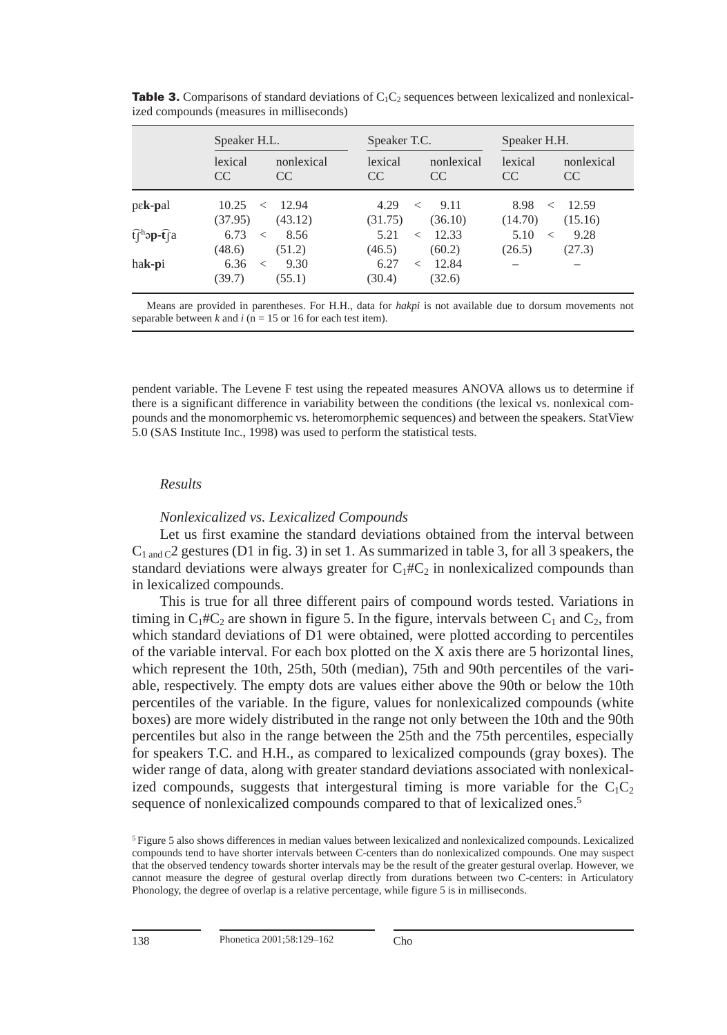|                                              | Speaker H.L.                        |                          | Speaker T.C.                        |                           | Speaker H.H.    |                             |
|----------------------------------------------|-------------------------------------|--------------------------|-------------------------------------|---------------------------|-----------------|-----------------------------|
|                                              | lexical<br>CC                       | nonlexical<br>CC         | lexical<br>CC                       | nonlexical<br>CC          | lexical<br>CC   | nonlexical<br><sub>CC</sub> |
| $p\epsilon\mathbf{k}$ -pal                   | 10.25<br>$\epsilon$                 | 12.94                    | 4.29<br>$\,<\,$                     | 9.11                      | 8.98            | 12.59<br>$\epsilon$         |
| $\widehat{f}^{\text{h}}$ əp- $\widehat{f}$ a | (37.95)<br>6.73<br>$\,<\,$          | (43.12)<br>8.56          | (31.75)<br>5.21<br>$\lt$            | (36.10)<br>12.33          | (14.70)<br>5.10 | (15.16)<br>9.28<br>$\,<\,$  |
| hak-pi                                       | (48.6)<br>6.36<br>$\,<\,$<br>(39.7) | (51.2)<br>9.30<br>(55.1) | (46.5)<br>6.27<br>$\,<\,$<br>(30.4) | (60.2)<br>12.84<br>(32.6) | (26.5)          | (27.3)                      |

**Table 3.** Comparisons of standard deviations of  $C_1C_2$  sequences between lexicalized and nonlexicalized compounds (measures in milliseconds)

Means are provided in parentheses. For H.H., data for *hakpi* is not available due to dorsum movements not separable between *k* and *i* ( $n = 15$  or 16 for each test item).

pendent variable. The Levene F test using the repeated measures ANOVA allows us to determine if there is a significant difference in variability between the conditions (the lexical vs. nonlexical compounds and the monomorphemic vs. heteromorphemic sequences) and between the speakers. StatView 5.0 (SAS Institute Inc., 1998) was used to perform the statistical tests.

# *Results*

# *Nonlexicalized vs. Lexicalized Compounds*

Let us first examine the standard deviations obtained from the interval between  $C_{1 \text{ and } C}$ 2 gestures (D1 in fig. 3) in set 1. As summarized in table 3, for all 3 speakers, the standard deviations were always greater for  $C_1 \# C_2$  in nonlexicalized compounds than in lexicalized compounds.

This is true for all three different pairs of compound words tested. Variations in timing in  $C_1 \# C_2$  are shown in figure 5. In the figure, intervals between  $C_1$  and  $C_2$ , from which standard deviations of D1 were obtained, were plotted according to percentiles of the variable interval. For each box plotted on the X axis there are 5 horizontal lines, which represent the 10th, 25th, 50th (median), 75th and 90th percentiles of the variable, respectively. The empty dots are values either above the 90th or below the 10th percentiles of the variable. In the figure, values for nonlexicalized compounds (white boxes) are more widely distributed in the range not only between the 10th and the 90th percentiles but also in the range between the 25th and the 75th percentiles, especially for speakers T.C. and H.H., as compared to lexicalized compounds (gray boxes). The wider range of data, along with greater standard deviations associated with nonlexicalized compounds, suggests that intergestural timing is more variable for the  $C_1C_2$ sequence of nonlexicalized compounds compared to that of lexicalized ones.<sup>5</sup>

<sup>5</sup> Figure 5 also shows differences in median values between lexicalized and nonlexicalized compounds. Lexicalized compounds tend to have shorter intervals between C-centers than do nonlexicalized compounds. One may suspect that the observed tendency towards shorter intervals may be the result of the greater gestural overlap. However, we cannot measure the degree of gestural overlap directly from durations between two C-centers: in Articulatory Phonology, the degree of overlap is a relative percentage, while figure 5 is in milliseconds.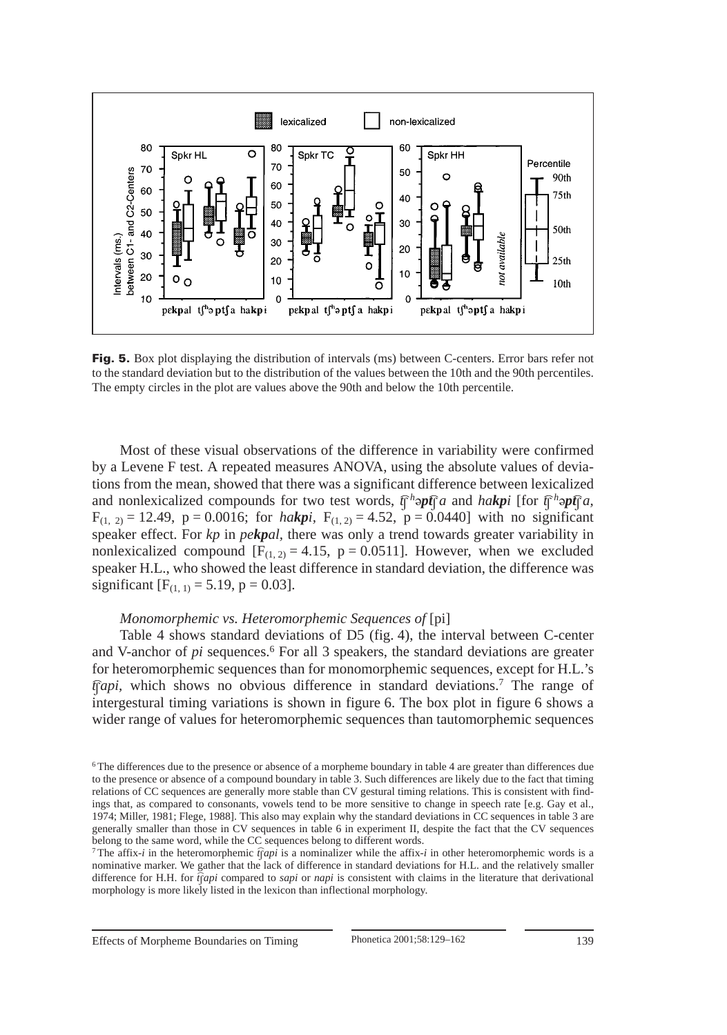

**Fig. 5.** Box plot displaying the distribution of intervals (ms) between C-centers. Error bars refer not to the standard deviation but to the distribution of the values between the 10th and the 90th percentiles. The empty circles in the plot are values above the 90th and below the 10th percentile.

Most of these visual observations of the difference in variability were confirmed by a Levene F test. A repeated measures ANOVA, using the absolute values of deviations from the mean, showed that there was a significant difference between lexicalized and nonlexicalized compounds for two test words,  $\hat{f}^h$  appo $\hat{f}^a$  and *hakpi* [for  $\hat{f}^h$  appo $\hat{f}^a$ *a*,  $F_{(1, 2)} = 12.49$ ,  $p = 0.0016$ ; for *hakpi*,  $F_{(1, 2)} = 4.52$ ,  $p = 0.0440$ ] with no significant speaker effect. For *kp* in *pekpal,* there was only a trend towards greater variability in nonlexicalized compound  $[F_{(1, 2)} = 4.15, p = 0.0511]$ . However, when we excluded speaker H.L., who showed the least difference in standard deviation, the difference was significant  $[F_{(1, 1)} = 5.19, p = 0.03]$ .

#### *Monomorphemic vs. Heteromorphemic Sequences of* [pi]

Table 4 shows standard deviations of D5 (fig. 4), the interval between C-center and V-anchor of *pi* sequences.<sup>6</sup> For all 3 speakers, the standard deviations are greater for heteromorphemic sequences than for monomorphemic sequences, except for H.L.'s –*t* E*api,* which shows no obvious difference in standard deviations.7 The range of intergestural timing variations is shown in figure 6. The box plot in figure 6 shows a wider range of values for heteromorphemic sequences than tautomorphemic sequences

<sup>6</sup> The differences due to the presence or absence of a morpheme boundary in table 4 are greater than differences due to the presence or absence of a compound boundary in table 3. Such differences are likely due to the fact that timing relations of CC sequences are generally more stable than CV gestural timing relations. This is consistent with findings that, as compared to consonants, vowels tend to be more sensitive to change in speech rate [e.g. Gay et al., 1974; Miller, 1981; Flege, 1988]. This also may explain why the standard deviations in CC sequences in table 3 are generally smaller than those in CV sequences in table 6 in experiment II, despite the fact that the CV sequences belong to the same word, while the CC sequences belong to different words.

<sup>&</sup>lt;sup>7</sup>The affix-*i* in the heteromorphemic  $\hat{t}$ *capi* is a nominalizer while the affix-*i* in other heteromorphemic words is a nominative marker. We gather that the lack of difference in standard deviations for H.L. and the relatively smaller difference for H.H. for  $\hat{f}$ *api* compared to *sapi* or *napi* is consistent with claims in the literature that derivational morphology is more likely listed in the lexicon than inflectional morphology.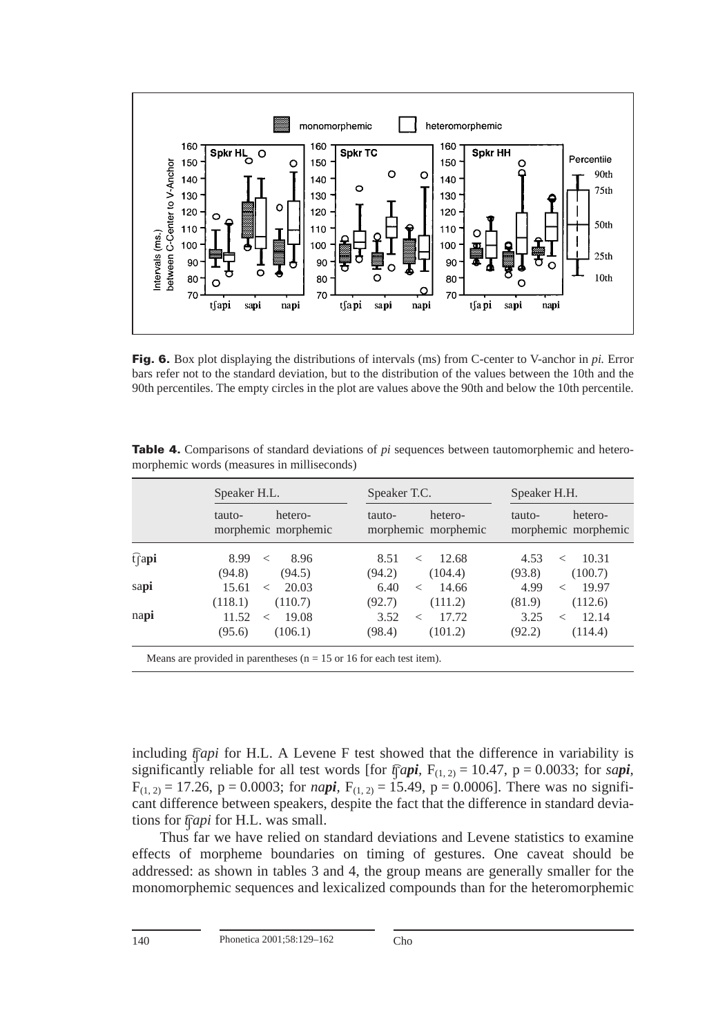

**Fig. 6.** Box plot displaying the distributions of intervals (ms) from C-center to V-anchor in *pi.* Error bars refer not to the standard deviation, but to the distribution of the values between the 10th and the 90th percentiles. The empty circles in the plot are values above the 90th and below the 10th percentile.

|       | Speaker H.L.        | Speaker T.C.        | Speaker H.H.        |  |
|-------|---------------------|---------------------|---------------------|--|
|       | hetero-             | hetero-             | hetero-             |  |
|       | tauto-              | tauto-              | tauto-              |  |
|       | morphemic morphemic | morphemic morphemic | morphemic morphemic |  |
| frapi | 8.99                | 8.51                | 4.53                |  |
|       | 8.96                | 12.68               | 10.31               |  |
|       | $\,<\,$             | $\,<\,$             | $\,<\,$             |  |
|       | (94.8)              | (94.2)              | (93.8)              |  |
|       | (94.5)              | (104.4)             | (100.7)             |  |
| sapi  | 15.61               | 6.40                | 4.99                |  |
|       | 20.03               | 14.66               | 19.97               |  |
|       | $\lt$               | $\,<\,$             | $\lt$               |  |
|       | (118.1)             | (92.7)              | (81.9)              |  |
|       | (110.7)             | (111.2)             | (112.6)             |  |
| napi  | 11.52               | 3.52                | 3.25                |  |
|       | 19.08               | 17.72               | 12.14               |  |
|       | $\lt$               | $\,<\,$             | $\lt$               |  |
|       | (95.6)              | (101.2)             | (92.2)              |  |
|       | (106.1)             | (98.4)              | (114.4)             |  |

**Table 4.** Comparisons of standard deviations of *pi* sequences between tautomorphemic and heteromorphemic words (measures in milliseconds)

Means are provided in parentheses ( $n = 15$  or 16 for each test item).

including *ffapi* for H.L. A Levene F test showed that the difference in variability is significantly reliable for all test words [for  $\hat{f}$  $q$  $p\hat{i}$ ,  $F$ <sub>(1, 2)</sub> = 10.47, p = 0.0033; for *sapi*,  $F_{(1, 2)} = 17.26$ ,  $p = 0.0003$ ; for *napi*,  $F_{(1, 2)} = 15.49$ ,  $p = 0.0006$ ]. There was no significant difference between speakers, despite the fact that the difference in standard deviations for  $f\$ *api* for H.L. was small.

Thus far we have relied on standard deviations and Levene statistics to examine effects of morpheme boundaries on timing of gestures. One caveat should be addressed: as shown in tables 3 and 4, the group means are generally smaller for the monomorphemic sequences and lexicalized compounds than for the heteromorphemic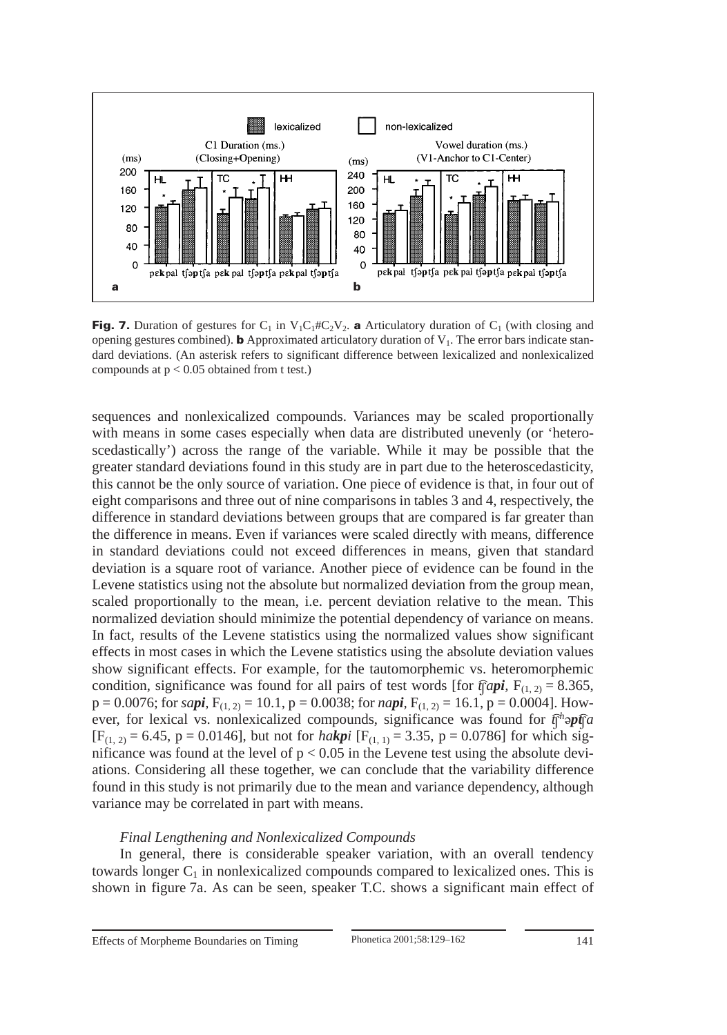

**Fig. 7.** Duration of gestures for  $C_1$  in  $V_1C_1\#C_2V_2$ . **a** Articulatory duration of  $C_1$  (with closing and opening gestures combined). **b** Approximated articulatory duration of  $V_1$ . The error bars indicate standard deviations. (An asterisk refers to significant difference between lexicalized and nonlexicalized compounds at  $p < 0.05$  obtained from t test.)

sequences and nonlexicalized compounds. Variances may be scaled proportionally with means in some cases especially when data are distributed unevenly (or 'heteroscedastically') across the range of the variable. While it may be possible that the greater standard deviations found in this study are in part due to the heteroscedasticity, this cannot be the only source of variation. One piece of evidence is that, in four out of eight comparisons and three out of nine comparisons in tables 3 and 4, respectively, the difference in standard deviations between groups that are compared is far greater than the difference in means. Even if variances were scaled directly with means, difference in standard deviations could not exceed differences in means, given that standard deviation is a square root of variance. Another piece of evidence can be found in the Levene statistics using not the absolute but normalized deviation from the group mean, scaled proportionally to the mean, i.e. percent deviation relative to the mean. This normalized deviation should minimize the potential dependency of variance on means. In fact, results of the Levene statistics using the normalized values show significant effects in most cases in which the Levene statistics using the absolute deviation values show significant effects. For example, for the tautomorphemic vs. heteromorphemic condition, significance was found for all pairs of test words [for  $\hat{f}$ *q* $p$ *i*, F<sub>(1, 2)</sub> = 8.365,  $p = 0.0076$ ; for *sapi*,  $F_{(1, 2)} = 10.1$ ,  $p = 0.0038$ ; for *napi*,  $F_{(1, 2)} = 16.1$ ,  $p = 0.0004$ ]. However, for lexical vs. nonlexicalized compounds, significance was found for  $\bar{f}^h$ **pf**fa  $[F_{(1, 2)} = 6.45, p = 0.0146]$ , but not for *hakpi*  $[F_{(1, 1)} = 3.35, p = 0.0786]$  for which significance was found at the level of  $p < 0.05$  in the Levene test using the absolute deviations. Considering all these together, we can conclude that the variability difference found in this study is not primarily due to the mean and variance dependency, although variance may be correlated in part with means.

# *Final Lengthening and Nonlexicalized Compounds*

In general, there is considerable speaker variation, with an overall tendency towards longer  $C_1$  in nonlexicalized compounds compared to lexicalized ones. This is shown in figure 7a. As can be seen, speaker T.C. shows a significant main effect of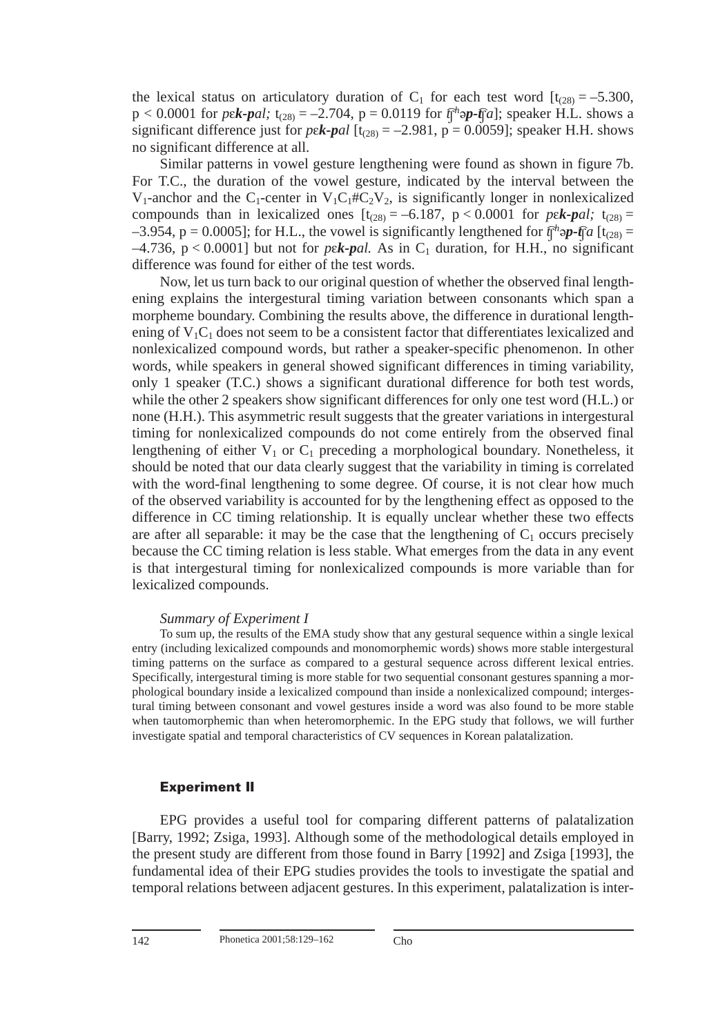the lexical status on articulatory duration of  $C_1$  for each test word  $[t_{(28)} = -5.300,$ p < 0.0001 for *pek-pal*; t<sub>(28)</sub> = -2.704, p = 0.0119 for  $\bar{f}^h$  *op-f* $\bar{f}$ *a*]; speaker H.L. shows a significant difference just for *p*ek-*pal*  $[t_{(28)} = -2.981, p = 0.0059]$ ; speaker H.H. shows no significant difference at all.

Similar patterns in vowel gesture lengthening were found as shown in figure 7b. For T.C., the duration of the vowel gesture, indicated by the interval between the  $V_1$ -anchor and the C<sub>1</sub>-center in  $V_1C_1\#C_2V_2$ , is significantly longer in nonlexicalized compounds than in lexicalized ones  $[t_{(28)} = -6.187, p < 0.0001$  for *p*ε*k*-pal;  $t_{(28)} =$  $-3.954$ ,  $p = 0.0005$ ; for H.L., the vowel is significantly lengthened for  $\bar{f}^h$  $\phi$ **P**- $\bar{f}$  $a$  [t<sub>(28)</sub> =  $-4.736$ ,  $p < 0.0001$ ] but not for *p* $\varepsilon \mathbf{k}$ -*pal*. As in C<sub>1</sub> duration, for H.H., no significant difference was found for either of the test words.

Now, let us turn back to our original question of whether the observed final lengthening explains the intergestural timing variation between consonants which span a morpheme boundary. Combining the results above, the difference in durational lengthening of  $V_1C_1$  does not seem to be a consistent factor that differentiates lexicalized and nonlexicalized compound words, but rather a speaker-specific phenomenon. In other words, while speakers in general showed significant differences in timing variability, only 1 speaker (T.C.) shows a significant durational difference for both test words, while the other 2 speakers show significant differences for only one test word (H.L.) or none (H.H.). This asymmetric result suggests that the greater variations in intergestural timing for nonlexicalized compounds do not come entirely from the observed final lengthening of either  $V_1$  or  $C_1$  preceding a morphological boundary. Nonetheless, it should be noted that our data clearly suggest that the variability in timing is correlated with the word-final lengthening to some degree. Of course, it is not clear how much of the observed variability is accounted for by the lengthening effect as opposed to the difference in CC timing relationship. It is equally unclear whether these two effects are after all separable: it may be the case that the lengthening of  $C_1$  occurs precisely because the CC timing relation is less stable. What emerges from the data in any event is that intergestural timing for nonlexicalized compounds is more variable than for lexicalized compounds.

#### *Summary of Experiment I*

To sum up, the results of the EMA study show that any gestural sequence within a single lexical entry (including lexicalized compounds and monomorphemic words) shows more stable intergestural timing patterns on the surface as compared to a gestural sequence across different lexical entries. Specifically, intergestural timing is more stable for two sequential consonant gestures spanning a morphological boundary inside a lexicalized compound than inside a nonlexicalized compound; intergestural timing between consonant and vowel gestures inside a word was also found to be more stable when tautomorphemic than when heteromorphemic. In the EPG study that follows, we will further investigate spatial and temporal characteristics of CV sequences in Korean palatalization.

#### **Experiment II**

EPG provides a useful tool for comparing different patterns of palatalization [Barry, 1992; Zsiga, 1993]. Although some of the methodological details employed in the present study are different from those found in Barry [1992] and Zsiga [1993], the fundamental idea of their EPG studies provides the tools to investigate the spatial and temporal relations between adjacent gestures. In this experiment, palatalization is inter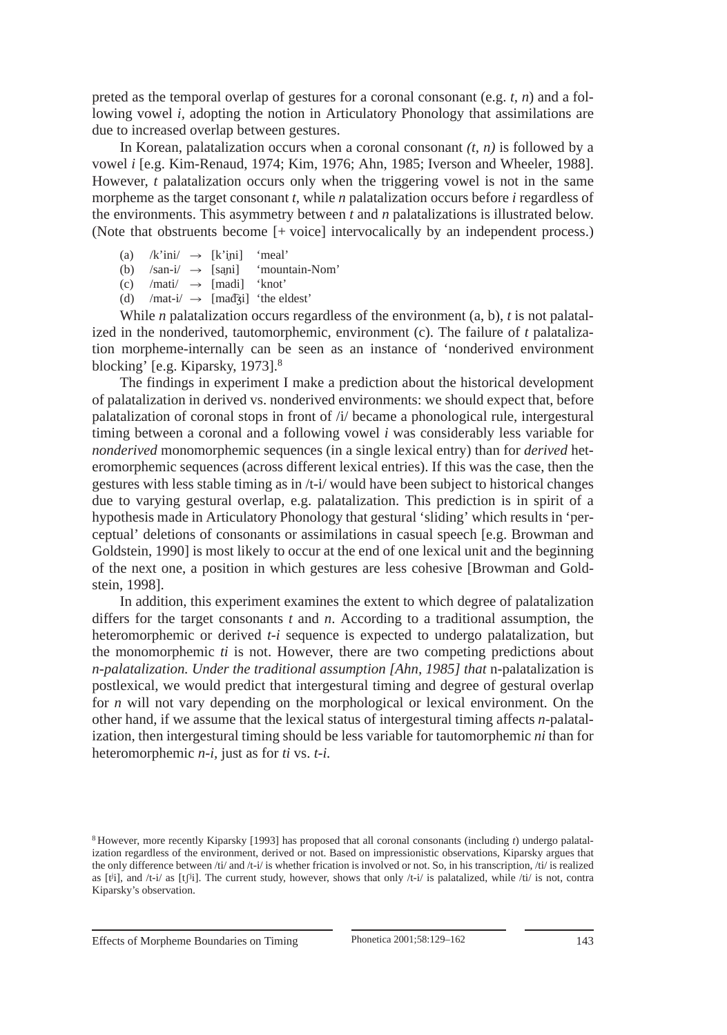preted as the temporal overlap of gestures for a coronal consonant (e.g. *t, n*) and a following vowel *i,* adopting the notion in Articulatory Phonology that assimilations are due to increased overlap between gestures.

In Korean, palatalization occurs when a coronal consonant *(t, n)* is followed by a vowel *i* [e.g. Kim-Renaud, 1974; Kim, 1976; Ahn, 1985; Iverson and Wheeler, 1988]. However, *t* palatalization occurs only when the triggering vowel is not in the same morpheme as the target consonant *t,* while *n* palatalization occurs before *i* regardless of the environments. This asymmetry between *t* and *n* palatalizations is illustrated below. (Note that obstruents become [+ voice] intervocalically by an independent process.)

(a)  $/k'ini' \rightarrow [k'ini]' 'real'$ (b)  $/san-i \rightarrow$  [sani] 'mountain-Nom'

(c)  $/mati/ \rightarrow [madi]$  'knot' (d) /mat-i/  $\rightarrow$  [mad $\overline{3}$ i] 'the eldest'

While *n* palatalization occurs regardless of the environment (a, b), *t* is not palatalized in the nonderived, tautomorphemic, environment (c). The failure of *t* palatalization morpheme-internally can be seen as an instance of 'nonderived environment blocking' [e.g. Kiparsky, 1973].8

The findings in experiment I make a prediction about the historical development of palatalization in derived vs. nonderived environments: we should expect that, before palatalization of coronal stops in front of /i/ became a phonological rule, intergestural timing between a coronal and a following vowel *i* was considerably less variable for *nonderived* monomorphemic sequences (in a single lexical entry) than for *derived* heteromorphemic sequences (across different lexical entries). If this was the case, then the gestures with less stable timing as in /t-i/ would have been subject to historical changes due to varying gestural overlap, e.g. palatalization. This prediction is in spirit of a hypothesis made in Articulatory Phonology that gestural 'sliding' which results in 'perceptual' deletions of consonants or assimilations in casual speech [e.g. Browman and Goldstein, 1990] is most likely to occur at the end of one lexical unit and the beginning of the next one, a position in which gestures are less cohesive [Browman and Goldstein, 1998].

In addition, this experiment examines the extent to which degree of palatalization differs for the target consonants *t* and *n*. According to a traditional assumption, the heteromorphemic or derived *t-i* sequence is expected to undergo palatalization, but the monomorphemic *ti* is not. However, there are two competing predictions about *n-palatalization. Under the traditional assumption [Ahn, 1985] that n-palatalization is* postlexical, we would predict that intergestural timing and degree of gestural overlap for *n* will not vary depending on the morphological or lexical environment. On the other hand, if we assume that the lexical status of intergestural timing affects *n*-palatalization, then intergestural timing should be less variable for tautomorphemic *ni* than for heteromorphemic *n-i,* just as for *ti* vs. *t-i.*

<sup>8</sup> However, more recently Kiparsky [1993] has proposed that all coronal consonants (including *t*) undergo palatalization regardless of the environment, derived or not. Based on impressionistic observations, Kiparsky argues that the only difference between /ti/ and /t-i/ is whether frication is involved or not. So, in his transcription, /ti/ is realized as [ $t^{ij}$ ], and /t-i/ as [t $f^{ji}$ ]. The current study, however, shows that only /t-i/ is palatalized, while /ti/ is not, contra Kiparsky's observation.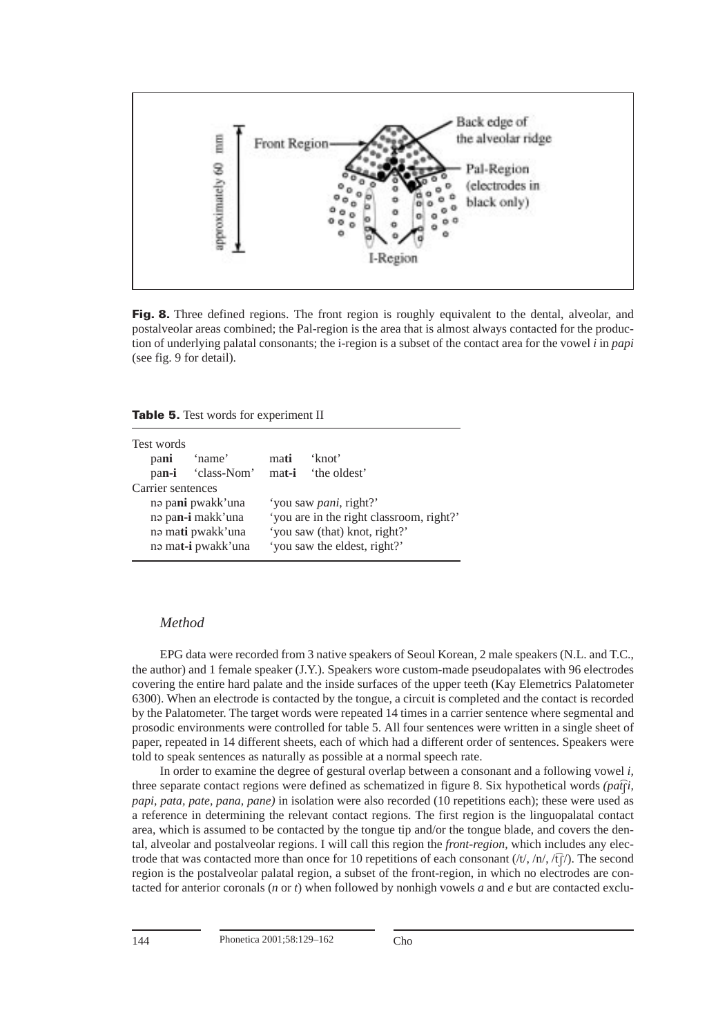

**Fig. 8.** Three defined regions. The front region is roughly equivalent to the dental, alveolar, and postalveolar areas combined; the Pal-region is the area that is almost always contacted for the production of underlying palatal consonants; the i-region is a subset of the contact area for the vowel *i* in *papi* (see fig. 9 for detail).

**Table 5.** Test words for experiment II

| Test words<br>pani<br>pa <b>n-i</b>    | 'name'<br>'class-Nom' | mati<br>mat-i                                                              | 'knot'<br>'the oldest'       |  |  |
|----------------------------------------|-----------------------|----------------------------------------------------------------------------|------------------------------|--|--|
| Carrier sentences                      |                       |                                                                            |                              |  |  |
| nə pani pwakk'una<br>nə pan-i makk'una |                       | 'you saw <i>pani</i> , right?'<br>'you are in the right classroom, right?' |                              |  |  |
|                                        |                       |                                                                            |                              |  |  |
| nə mati pwakk'una                      |                       | 'you saw (that) knot, right?'                                              |                              |  |  |
|                                        | nə mat-i pwakk'una    |                                                                            | 'you saw the eldest, right?' |  |  |

## *Method*

EPG data were recorded from 3 native speakers of Seoul Korean, 2 male speakers (N.L. and T.C., the author) and 1 female speaker (J.Y.). Speakers wore custom-made pseudopalates with 96 electrodes covering the entire hard palate and the inside surfaces of the upper teeth (Kay Elemetrics Palatometer 6300). When an electrode is contacted by the tongue, a circuit is completed and the contact is recorded by the Palatometer. The target words were repeated 14 times in a carrier sentence where segmental and prosodic environments were controlled for table 5. All four sentences were written in a single sheet of paper, repeated in 14 different sheets, each of which had a different order of sentences. Speakers were told to speak sentences as naturally as possible at a normal speech rate.

In order to examine the degree of gestural overlap between a consonant and a following vowel *i,* three separate contact regions were defined as schematized in figure 8. Six hypothetical words  $\langle pa\hat{f}i, \hat{f}\rangle$ *papi, pata, pate, pana, pane)* in isolation were also recorded (10 repetitions each); these were used as a reference in determining the relevant contact regions. The first region is the linguopalatal contact area, which is assumed to be contacted by the tongue tip and/or the tongue blade, and covers the dental, alveolar and postalveolar regions. I will call this region the *front-region,* which includes any electrode that was contacted more than once for 10 repetitions of each consonant  $(\ell t, \ln \sqrt{t})$ . The second region is the postalveolar palatal region, a subset of the front-region, in which no electrodes are contacted for anterior coronals (*n* or *t*) when followed by nonhigh vowels *a* and *e* but are contacted exclu-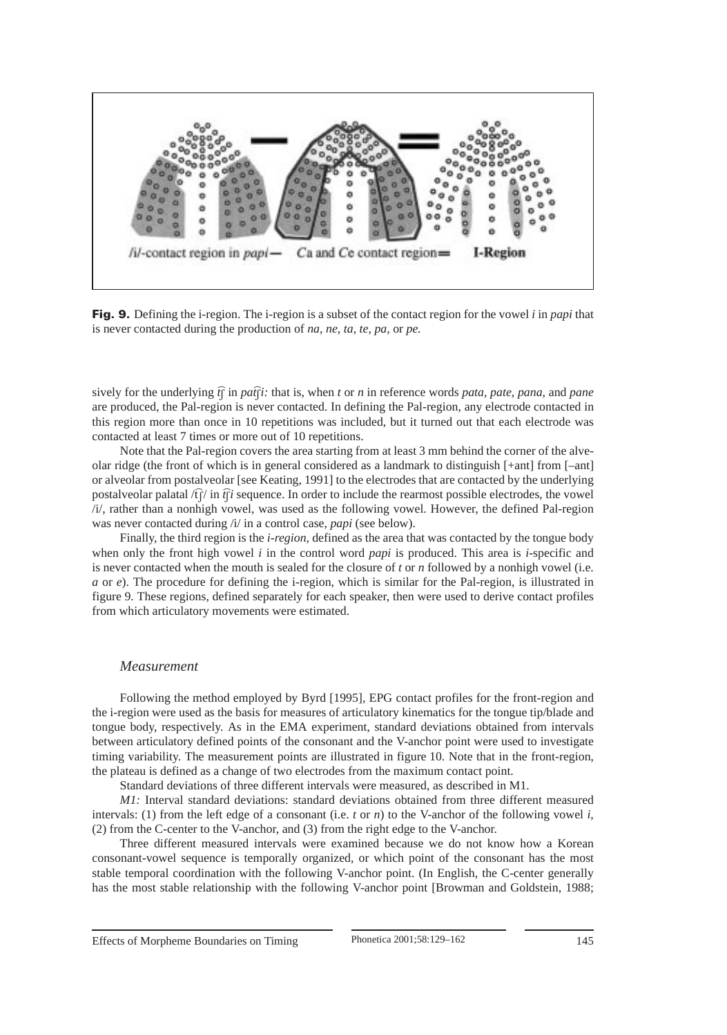

**Fig. 9.** Defining the i-region. The i-region is a subset of the contact region for the vowel *i* in *papi* that is never contacted during the production of *na, ne, ta, te, pa,* or *pe.*

sively for the underlying  $\hat{t}$  in *paffi*: that is, when *t* or *n* in reference words *pata, pate, pana,* and *pane* are produced, the Pal-region is never contacted. In defining the Pal-region, any electrode contacted in this region more than once in 10 repetitions was included, but it turned out that each electrode was contacted at least 7 times or more out of 10 repetitions.

Note that the Pal-region covers the area starting from at least 3 mm behind the corner of the alveolar ridge (the front of which is in general considered as a landmark to distinguish [+ant] from [–ant] or alveolar from postalveolar [see Keating, 1991] to the electrodes that are contacted by the underlying postalveolar palatal  $/\hat{t}$  in  $\hat{t}$  is sequence. In order to include the rearmost possible electrodes, the vowel /i/, rather than a nonhigh vowel, was used as the following vowel. However, the defined Pal-region was never contacted during /i/ in a control case, *papi* (see below).

Finally, the third region is the *i-region,* defined as the area that was contacted by the tongue body when only the front high vowel *i* in the control word *papi* is produced. This area is *i*-specific and is never contacted when the mouth is sealed for the closure of *t* or *n* followed by a nonhigh vowel (i.e. *a* or *e*). The procedure for defining the i-region, which is similar for the Pal-region, is illustrated in figure 9. These regions, defined separately for each speaker, then were used to derive contact profiles from which articulatory movements were estimated.

## *Measurement*

Following the method employed by Byrd [1995], EPG contact profiles for the front-region and the i-region were used as the basis for measures of articulatory kinematics for the tongue tip/blade and tongue body, respectively. As in the EMA experiment, standard deviations obtained from intervals between articulatory defined points of the consonant and the V-anchor point were used to investigate timing variability. The measurement points are illustrated in figure 10. Note that in the front-region, the plateau is defined as a change of two electrodes from the maximum contact point.

Standard deviations of three different intervals were measured, as described in M1.

*M1:* Interval standard deviations: standard deviations obtained from three different measured intervals: (1) from the left edge of a consonant (i.e. *t* or *n*) to the V-anchor of the following vowel *i,* (2) from the C-center to the V-anchor, and (3) from the right edge to the V-anchor.

Three different measured intervals were examined because we do not know how a Korean consonant-vowel sequence is temporally organized, or which point of the consonant has the most stable temporal coordination with the following V-anchor point. (In English, the C-center generally has the most stable relationship with the following V-anchor point [Browman and Goldstein, 1988;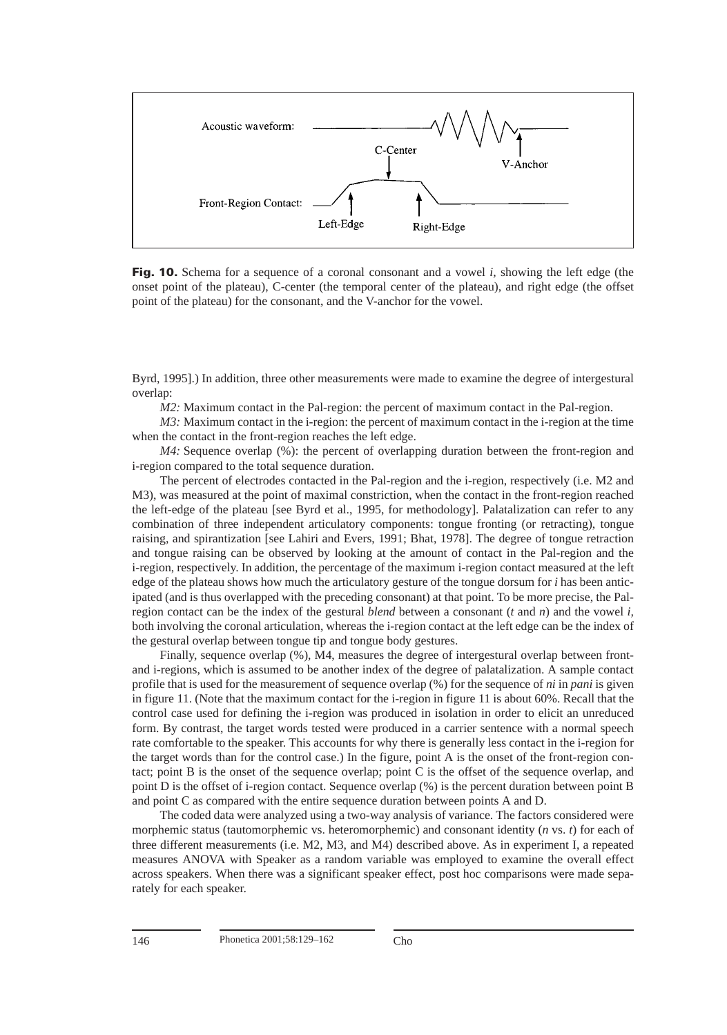

**Fig. 10.** Schema for a sequence of a coronal consonant and a vowel *i,* showing the left edge (the onset point of the plateau), C-center (the temporal center of the plateau), and right edge (the offset point of the plateau) for the consonant, and the V-anchor for the vowel.

Byrd, 1995].) In addition, three other measurements were made to examine the degree of intergestural overlap:

*M2:* Maximum contact in the Pal-region: the percent of maximum contact in the Pal-region.

*M3*: Maximum contact in the i-region: the percent of maximum contact in the i-region at the time when the contact in the front-region reaches the left edge.

*M4*: Sequence overlap (%): the percent of overlapping duration between the front-region and i-region compared to the total sequence duration.

The percent of electrodes contacted in the Pal-region and the i-region, respectively (i.e. M2 and M3), was measured at the point of maximal constriction, when the contact in the front-region reached the left-edge of the plateau [see Byrd et al., 1995, for methodology]. Palatalization can refer to any combination of three independent articulatory components: tongue fronting (or retracting), tongue raising, and spirantization [see Lahiri and Evers, 1991; Bhat, 1978]. The degree of tongue retraction and tongue raising can be observed by looking at the amount of contact in the Pal-region and the i-region, respectively. In addition, the percentage of the maximum i-region contact measured at the left edge of the plateau shows how much the articulatory gesture of the tongue dorsum for *i* has been anticipated (and is thus overlapped with the preceding consonant) at that point. To be more precise, the Palregion contact can be the index of the gestural *blend* between a consonant (*t* and *n*) and the vowel *i,* both involving the coronal articulation, whereas the i-region contact at the left edge can be the index of the gestural overlap between tongue tip and tongue body gestures.

Finally, sequence overlap (%), M4, measures the degree of intergestural overlap between frontand i-regions, which is assumed to be another index of the degree of palatalization. A sample contact profile that is used for the measurement of sequence overlap (%) for the sequence of *ni* in *pani* is given in figure 11. (Note that the maximum contact for the i-region in figure 11 is about 60%. Recall that the control case used for defining the i-region was produced in isolation in order to elicit an unreduced form. By contrast, the target words tested were produced in a carrier sentence with a normal speech rate comfortable to the speaker. This accounts for why there is generally less contact in the i-region for the target words than for the control case.) In the figure, point A is the onset of the front-region contact; point B is the onset of the sequence overlap; point C is the offset of the sequence overlap, and point D is the offset of i-region contact. Sequence overlap (%) is the percent duration between point B and point C as compared with the entire sequence duration between points A and D.

The coded data were analyzed using a two-way analysis of variance. The factors considered were morphemic status (tautomorphemic vs. heteromorphemic) and consonant identity (*n* vs. *t*) for each of three different measurements (i.e. M2, M3, and M4) described above. As in experiment I, a repeated measures ANOVA with Speaker as a random variable was employed to examine the overall effect across speakers. When there was a significant speaker effect, post hoc comparisons were made separately for each speaker.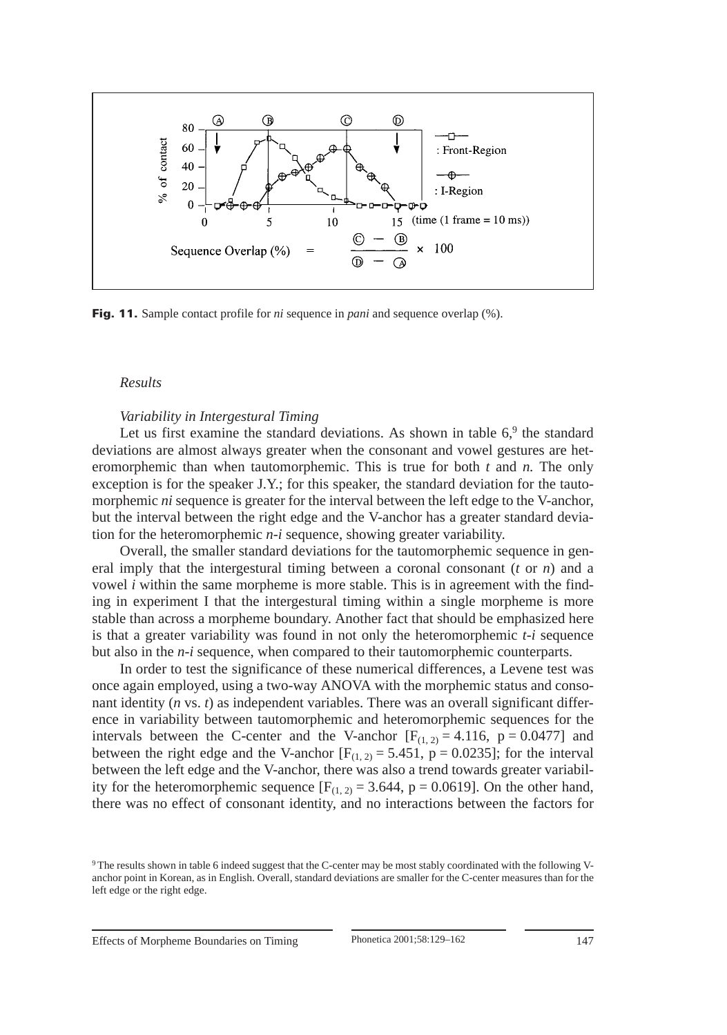

**Fig. 11.** Sample contact profile for *ni* sequence in *pani* and sequence overlap (%).

#### *Results*

#### *Variability in Intergestural Timing*

Let us first examine the standard deviations. As shown in table  $6<sup>9</sup>$  the standard deviations are almost always greater when the consonant and vowel gestures are heteromorphemic than when tautomorphemic. This is true for both *t* and *n.* The only exception is for the speaker J.Y.; for this speaker, the standard deviation for the tautomorphemic *ni* sequence is greater for the interval between the left edge to the V-anchor, but the interval between the right edge and the V-anchor has a greater standard deviation for the heteromorphemic *n-i* sequence, showing greater variability.

Overall, the smaller standard deviations for the tautomorphemic sequence in general imply that the intergestural timing between a coronal consonant (*t* or *n*) and a vowel *i* within the same morpheme is more stable. This is in agreement with the finding in experiment I that the intergestural timing within a single morpheme is more stable than across a morpheme boundary. Another fact that should be emphasized here is that a greater variability was found in not only the heteromorphemic *t-i* sequence but also in the *n-i* sequence, when compared to their tautomorphemic counterparts.

In order to test the significance of these numerical differences, a Levene test was once again employed, using a two-way ANOVA with the morphemic status and consonant identity (*n* vs. *t*) as independent variables. There was an overall significant difference in variability between tautomorphemic and heteromorphemic sequences for the intervals between the C-center and the V-anchor  $[F_{(1, 2)} = 4.116, p = 0.0477]$  and between the right edge and the V-anchor  $[F_{(1, 2)} = 5.451, p = 0.0235]$ ; for the interval between the left edge and the V-anchor, there was also a trend towards greater variability for the heteromorphemic sequence  $[F_{(1, 2)} = 3.644, p = 0.0619]$ . On the other hand, there was no effect of consonant identity, and no interactions between the factors for

<sup>9</sup> The results shown in table 6 indeed suggest that the C-center may be most stably coordinated with the following Vanchor point in Korean, as in English. Overall, standard deviations are smaller for the C-center measures than for the left edge or the right edge.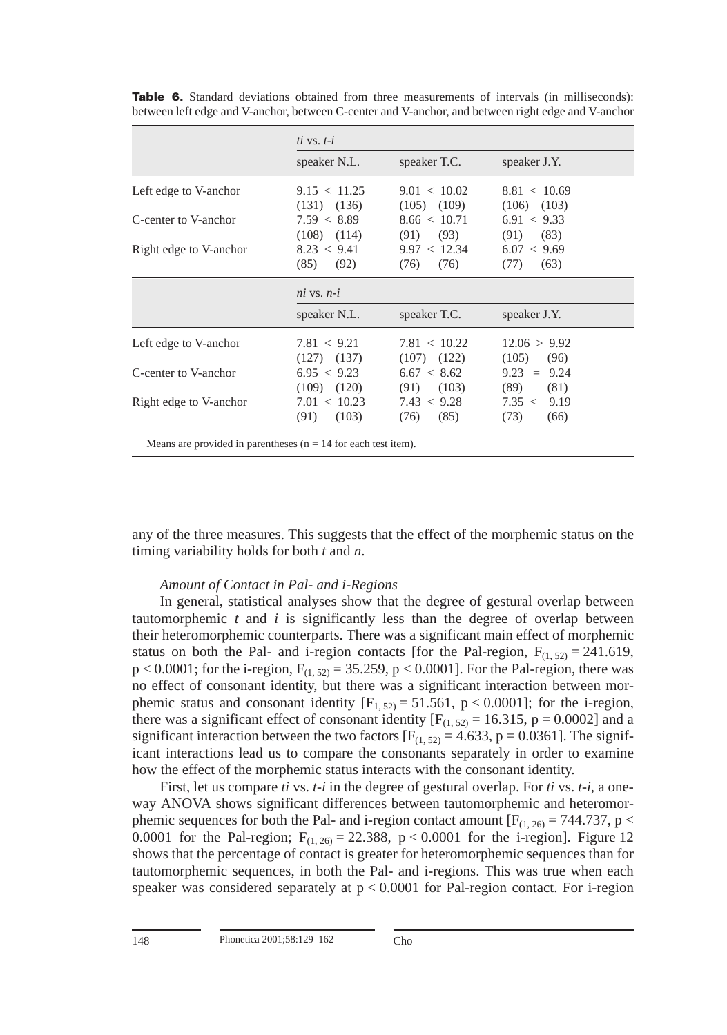| $ti$ vs. $t-i$                 |                                 |                                      |
|--------------------------------|---------------------------------|--------------------------------------|
| speaker N.L.                   | speaker T.C.                    | speaker J.Y.                         |
| 9.15 < 11.25                   | 9.01 < 10.02                    | $8.81 \leq 10.69$<br>$(106)$ $(103)$ |
| 7.59 < 8.89<br>$(108)$ $(114)$ | 8.66 < 10.71<br>(91)<br>(93)    | 6.91 < 9.33<br>$(91)$ $(83)$         |
| 8.23 < 9.41<br>(85)<br>(92)    | 9.97 < 12.34<br>(76)<br>(76)    | 6.07 < 9.69<br>(63)<br>(77)          |
| $ni$ vs. $n-i$                 |                                 |                                      |
| speaker N.L.                   | speaker T.C.                    | speaker J.Y.                         |
| 7.81 < 9.21<br>$(127)$ $(137)$ | 7.81 < 10.22<br>$(107)$ $(122)$ | 12.06 > 9.92<br>(105)<br>(96)        |
| 6.95 < 9.23<br>$(109)$ $(120)$ | 6.67 < 8.62<br>(91)<br>(103)    | $9.23 = 9.24$<br>(89)<br>(81)        |
| 7.01 < 10.23<br>(91)<br>(103)  | 7.43 < 9.28<br>(85)<br>(76)     | 7.35 <<br>9.19<br>(73)<br>(66)       |
|                                | $(131)$ $(136)$                 | $(105)$ $(109)$                      |

**Table 6.** Standard deviations obtained from three measurements of intervals (in milliseconds): between left edge and V-anchor, between C-center and V-anchor, and between right edge and V-anchor

any of the three measures. This suggests that the effect of the morphemic status on the timing variability holds for both *t* and *n*.

# *Amount of Contact in Pal- and i-Regions*

In general, statistical analyses show that the degree of gestural overlap between tautomorphemic *t* and *i* is significantly less than the degree of overlap between their heteromorphemic counterparts. There was a significant main effect of morphemic status on both the Pal- and i-region contacts [for the Pal-region,  $F_{(1, 52)} = 241.619$ ,  $p < 0.0001$ ; for the i-region,  $F_{(1, 52)} = 35.259$ ,  $p < 0.0001$ ]. For the Pal-region, there was no effect of consonant identity, but there was a significant interaction between morphemic status and consonant identity  $[F_{1, 52)} = 51.561$ , p < 0.0001]; for the i-region, there was a significant effect of consonant identity  $[F_{(1, 52)} = 16.315, p = 0.0002]$  and a significant interaction between the two factors  $[F_{(1, 52)} = 4.633, p = 0.0361]$ . The significant interactions lead us to compare the consonants separately in order to examine how the effect of the morphemic status interacts with the consonant identity.

First, let us compare *ti* vs. *t-i* in the degree of gestural overlap. For *ti* vs. *t-i,* a oneway ANOVA shows significant differences between tautomorphemic and heteromorphemic sequences for both the Pal- and i-region contact amount  $[F_{(1, 26)} = 744.737, p <$ 0.0001 for the Pal-region;  $F_{(1, 26)} = 22.388$ , p < 0.0001 for the i-region]. Figure 12 shows that the percentage of contact is greater for heteromorphemic sequences than for tautomorphemic sequences, in both the Pal- and i-regions. This was true when each speaker was considered separately at p < 0.0001 for Pal-region contact. For i-region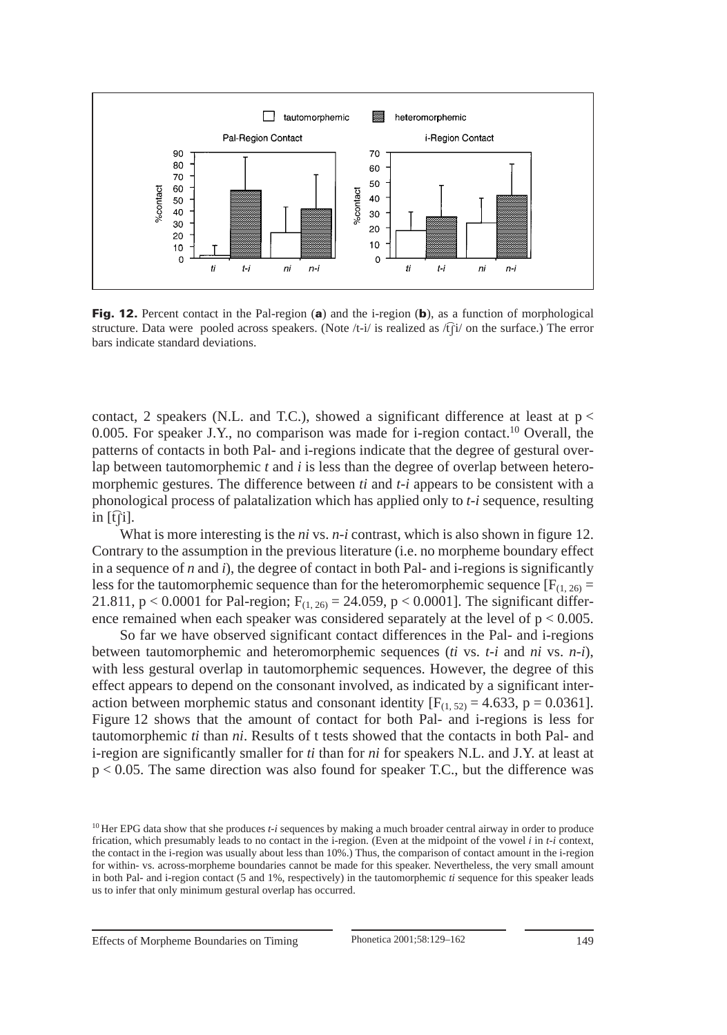

**Fig. 12.** Percent contact in the Pal-region (**a**) and the i-region (**b**), as a function of morphological structure. Data were pooled across speakers. (Note /t-i/ is realized as  $/(\hat{f}i)$  on the surface.) The error bars indicate standard deviations.

contact, 2 speakers (N.L. and T.C.), showed a significant difference at least at  $p <$ 0.005. For speaker J.Y., no comparison was made for i-region contact.<sup>10</sup> Overall, the patterns of contacts in both Pal- and i-regions indicate that the degree of gestural overlap between tautomorphemic *t* and *i* is less than the degree of overlap between heteromorphemic gestures. The difference between *ti* and *t-i* appears to be consistent with a phonological process of palatalization which has applied only to *t-i* sequence, resulting in  $\widehat{[t]}$ i].

What is more interesting is the *ni* vs. *n-i* contrast, which is also shown in figure 12. Contrary to the assumption in the previous literature (i.e. no morpheme boundary effect in a sequence of *n* and *i*), the degree of contact in both Pal- and i-regions is significantly less for the tautomorphemic sequence than for the heteromorphemic sequence  $[F_{(1, 26)}]$ 21.811, p < 0.0001 for Pal-region;  $F_{(1, 26)} = 24.059$ , p < 0.0001]. The significant difference remained when each speaker was considered separately at the level of  $p < 0.005$ .

So far we have observed significant contact differences in the Pal- and i-regions between tautomorphemic and heteromorphemic sequences (*ti* vs. *t-i* and *ni* vs. *n-i*), with less gestural overlap in tautomorphemic sequences. However, the degree of this effect appears to depend on the consonant involved, as indicated by a significant interaction between morphemic status and consonant identity  $[F_{(1, 52)} = 4.633, p = 0.0361]$ . Figure 12 shows that the amount of contact for both Pal- and i-regions is less for tautomorphemic *ti* than *ni*. Results of t tests showed that the contacts in both Pal- and i-region are significantly smaller for *ti* than for *ni* for speakers N.L. and J.Y. at least at p < 0.05. The same direction was also found for speaker T.C., but the difference was

<sup>&</sup>lt;sup>10</sup> Her EPG data show that she produces *t-i* sequences by making a much broader central airway in order to produce frication, which presumably leads to no contact in the i-region. (Even at the midpoint of the vowel *i* in *t-i* context, the contact in the i-region was usually about less than 10%.) Thus, the comparison of contact amount in the i-region for within- vs. across-morpheme boundaries cannot be made for this speaker. Nevertheless, the very small amount in both Pal- and i-region contact (5 and 1%, respectively) in the tautomorphemic *ti* sequence for this speaker leads us to infer that only minimum gestural overlap has occurred.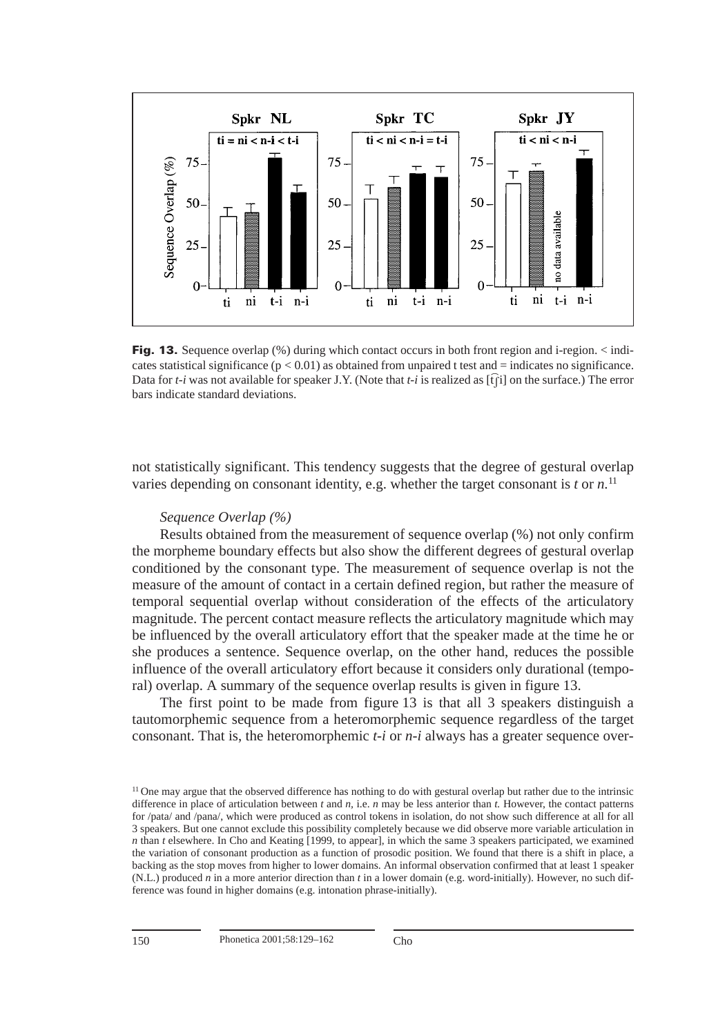

**Fig. 13.** Sequence overlap (%) during which contact occurs in both front region and i-region.  $\lt$  indicates statistical significance ( $p < 0.01$ ) as obtained from unpaired t test and = indicates no significance. Data for  $t-i$  was not available for speaker J.Y. (Note that  $t-i$  is realized as  $[f(t)]$  on the surface.) The error bars indicate standard deviations.

not statistically significant. This tendency suggests that the degree of gestural overlap varies depending on consonant identity, e.g. whether the target consonant is *t* or *n.*<sup>11</sup>

#### *Sequence Overlap (%)*

Results obtained from the measurement of sequence overlap (%) not only confirm the morpheme boundary effects but also show the different degrees of gestural overlap conditioned by the consonant type. The measurement of sequence overlap is not the measure of the amount of contact in a certain defined region, but rather the measure of temporal sequential overlap without consideration of the effects of the articulatory magnitude. The percent contact measure reflects the articulatory magnitude which may be influenced by the overall articulatory effort that the speaker made at the time he or she produces a sentence. Sequence overlap, on the other hand, reduces the possible influence of the overall articulatory effort because it considers only durational (temporal) overlap. A summary of the sequence overlap results is given in figure 13.

The first point to be made from figure 13 is that all 3 speakers distinguish a tautomorphemic sequence from a heteromorphemic sequence regardless of the target consonant. That is, the heteromorphemic *t-i* or *n-i* always has a greater sequence over-

<sup>&</sup>lt;sup>11</sup> One may argue that the observed difference has nothing to do with gestural overlap but rather due to the intrinsic difference in place of articulation between *t* and *n,* i.e. *n* may be less anterior than *t.* However, the contact patterns for /pata/ and /pana/, which were produced as control tokens in isolation, do not show such difference at all for all 3 speakers. But one cannot exclude this possibility completely because we did observe more variable articulation in *n* than *t* elsewhere. In Cho and Keating [1999, to appear], in which the same 3 speakers participated, we examined the variation of consonant production as a function of prosodic position. We found that there is a shift in place, a backing as the stop moves from higher to lower domains. An informal observation confirmed that at least 1 speaker (N.L.) produced *n* in a more anterior direction than *t* in a lower domain (e.g. word-initially). However, no such difference was found in higher domains (e.g. intonation phrase-initially).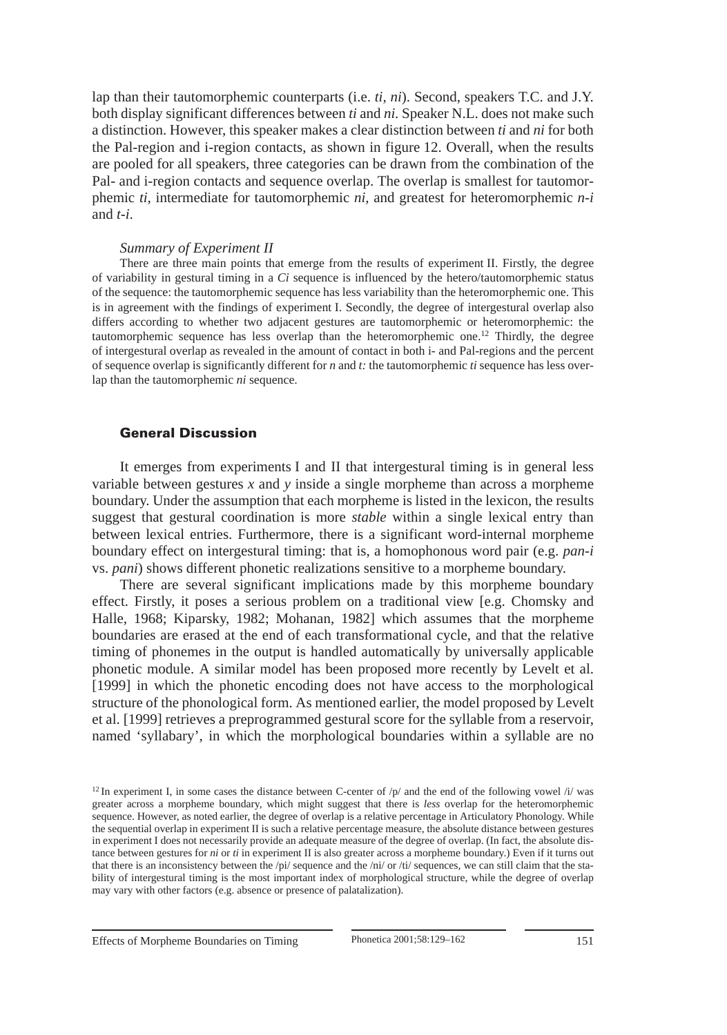lap than their tautomorphemic counterparts (i.e. *ti, ni*). Second, speakers T.C. and J.Y. both display significant differences between *ti* and *ni.* Speaker N.L. does not make such a distinction. However, this speaker makes a clear distinction between *ti* and *ni* for both the Pal-region and i-region contacts, as shown in figure 12. Overall, when the results are pooled for all speakers, three categories can be drawn from the combination of the Pal- and i-region contacts and sequence overlap. The overlap is smallest for tautomorphemic *ti,* intermediate for tautomorphemic *ni,* and greatest for heteromorphemic *n-i* and *t-i*.

#### *Summary of Experiment II*

There are three main points that emerge from the results of experiment II. Firstly, the degree of variability in gestural timing in a *Ci* sequence is influenced by the hetero/tautomorphemic status of the sequence: the tautomorphemic sequence has less variability than the heteromorphemic one. This is in agreement with the findings of experiment I. Secondly, the degree of intergestural overlap also differs according to whether two adjacent gestures are tautomorphemic or heteromorphemic: the tautomorphemic sequence has less overlap than the heteromorphemic one.<sup>12</sup> Thirdly, the degree of intergestural overlap as revealed in the amount of contact in both i- and Pal-regions and the percent of sequence overlap is significantly different for *n* and *t:* the tautomorphemic *ti* sequence has less overlap than the tautomorphemic *ni* sequence.

# **General Discussion**

It emerges from experiments I and II that intergestural timing is in general less variable between gestures *x* and *y* inside a single morpheme than across a morpheme boundary. Under the assumption that each morpheme is listed in the lexicon, the results suggest that gestural coordination is more *stable* within a single lexical entry than between lexical entries. Furthermore, there is a significant word-internal morpheme boundary effect on intergestural timing: that is, a homophonous word pair (e.g. *pan-i* vs. *pani*) shows different phonetic realizations sensitive to a morpheme boundary.

There are several significant implications made by this morpheme boundary effect. Firstly, it poses a serious problem on a traditional view [e.g. Chomsky and Halle, 1968; Kiparsky, 1982; Mohanan, 1982] which assumes that the morpheme boundaries are erased at the end of each transformational cycle, and that the relative timing of phonemes in the output is handled automatically by universally applicable phonetic module. A similar model has been proposed more recently by Levelt et al. [1999] in which the phonetic encoding does not have access to the morphological structure of the phonological form. As mentioned earlier, the model proposed by Levelt et al. [1999] retrieves a preprogrammed gestural score for the syllable from a reservoir, named 'syllabary', in which the morphological boundaries within a syllable are no

<sup>&</sup>lt;sup>12</sup> In experiment I, in some cases the distance between C-center of  $/p$  and the end of the following vowel  $/i$  was greater across a morpheme boundary, which might suggest that there is *less* overlap for the heteromorphemic sequence. However, as noted earlier, the degree of overlap is a relative percentage in Articulatory Phonology. While the sequential overlap in experiment II is such a relative percentage measure, the absolute distance between gestures in experiment I does not necessarily provide an adequate measure of the degree of overlap. (In fact, the absolute distance between gestures for *ni* or *ti* in experiment II is also greater across a morpheme boundary.) Even if it turns out that there is an inconsistency between the /pi/ sequence and the /ni/ or /ti/ sequences, we can still claim that the stability of intergestural timing is the most important index of morphological structure, while the degree of overlap may vary with other factors (e.g. absence or presence of palatalization).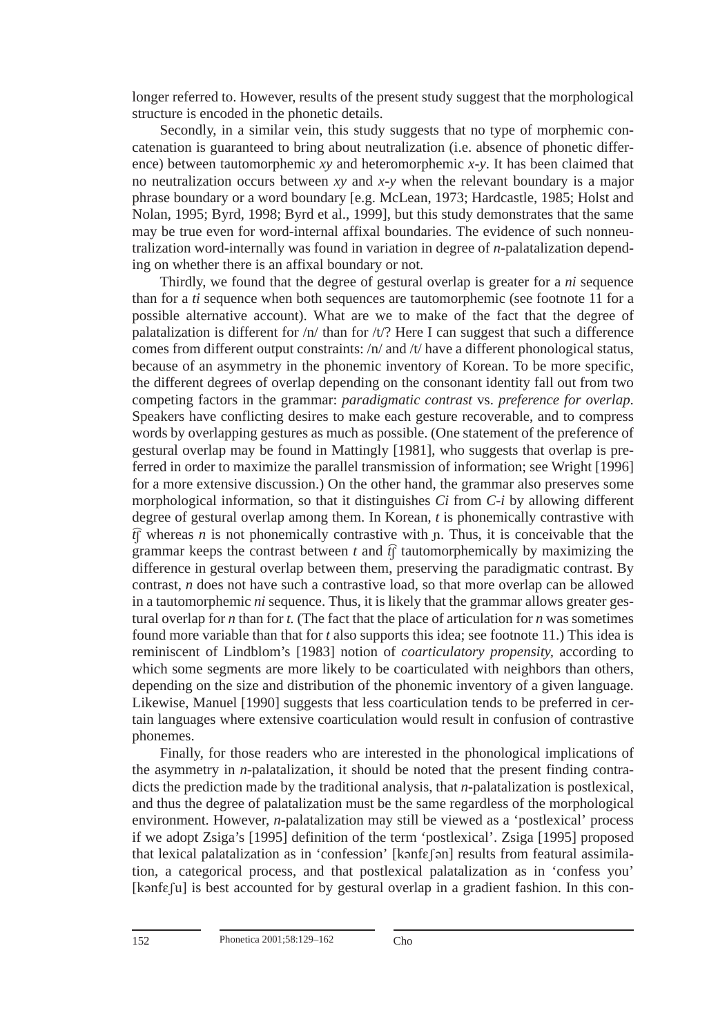longer referred to. However, results of the present study suggest that the morphological structure is encoded in the phonetic details.

Secondly, in a similar vein, this study suggests that no type of morphemic concatenation is guaranteed to bring about neutralization (i.e. absence of phonetic difference) between tautomorphemic *xy* and heteromorphemic *x-y*. It has been claimed that no neutralization occurs between *xy* and *x-y* when the relevant boundary is a major phrase boundary or a word boundary [e.g. McLean, 1973; Hardcastle, 1985; Holst and Nolan, 1995; Byrd, 1998; Byrd et al., 1999], but this study demonstrates that the same may be true even for word-internal affixal boundaries. The evidence of such nonneutralization word-internally was found in variation in degree of *n-*palatalization depending on whether there is an affixal boundary or not.

Thirdly, we found that the degree of gestural overlap is greater for a *ni* sequence than for a *ti* sequence when both sequences are tautomorphemic (see footnote 11 for a possible alternative account). What are we to make of the fact that the degree of palatalization is different for /n/ than for /t/? Here I can suggest that such a difference comes from different output constraints: /n/ and /t/ have a different phonological status, because of an asymmetry in the phonemic inventory of Korean. To be more specific, the different degrees of overlap depending on the consonant identity fall out from two competing factors in the grammar: *paradigmatic contrast* vs. *preference for overlap*. Speakers have conflicting desires to make each gesture recoverable, and to compress words by overlapping gestures as much as possible. (One statement of the preference of gestural overlap may be found in Mattingly [1981], who suggests that overlap is preferred in order to maximize the parallel transmission of information; see Wright [1996] for a more extensive discussion.) On the other hand, the grammar also preserves some morphological information, so that it distinguishes *Ci* from *C-i* by allowing different degree of gestural overlap among them. In Korean, *t* is phonemically contrastive with  $\hat{f}$  whereas *n* is not phonemically contrastive with *n*. Thus, it is conceivable that the grammar keeps the contrast between *t* and  $\hat{f}$  tautomorphemically by maximizing the difference in gestural overlap between them, preserving the paradigmatic contrast. By contrast, *n* does not have such a contrastive load, so that more overlap can be allowed in a tautomorphemic *ni* sequence. Thus, it is likely that the grammar allows greater gestural overlap for *n* than for *t.* (The fact that the place of articulation for *n* was sometimes found more variable than that for *t* also supports this idea; see footnote 11.) This idea is reminiscent of Lindblom's [1983] notion of *coarticulatory propensity,* according to which some segments are more likely to be coarticulated with neighbors than others, depending on the size and distribution of the phonemic inventory of a given language. Likewise, Manuel [1990] suggests that less coarticulation tends to be preferred in certain languages where extensive coarticulation would result in confusion of contrastive phonemes.

Finally, for those readers who are interested in the phonological implications of the asymmetry in *n*-palatalization, it should be noted that the present finding contradicts the prediction made by the traditional analysis, that *n*-palatalization is postlexical, and thus the degree of palatalization must be the same regardless of the morphological environment. However, *n*-palatalization may still be viewed as a 'postlexical' process if we adopt Zsiga's [1995] definition of the term 'postlexical'. Zsiga [1995] proposed that lexical palatalization as in 'confession' [kanfe [an] results from featural assimilation, a categorical process, and that postlexical palatalization as in 'confess you'  $[kənfe[u]$  is best accounted for by gestural overlap in a gradient fashion. In this con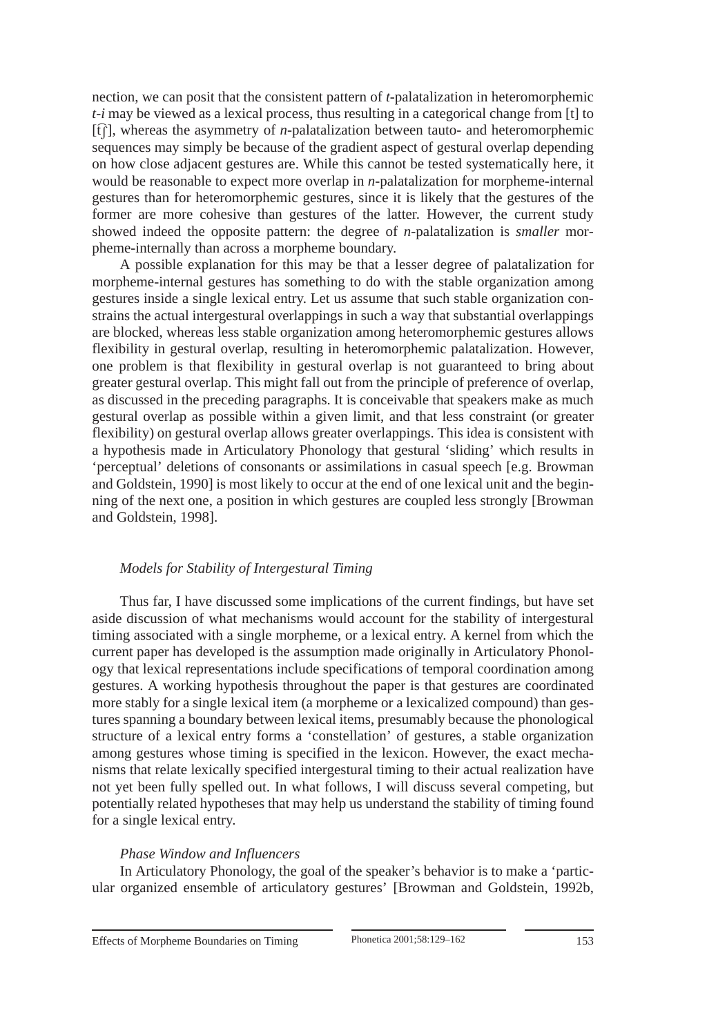nection, we can posit that the consistent pattern of *t*-palatalization in heteromorphemic *t-i* may be viewed as a lexical process, thus resulting in a categorical change from [t] to  $[f]$ , whereas the asymmetry of *n*-palatalization between tauto- and heteromorphemic sequences may simply be because of the gradient aspect of gestural overlap depending on how close adjacent gestures are. While this cannot be tested systematically here, it would be reasonable to expect more overlap in *n*-palatalization for morpheme-internal gestures than for heteromorphemic gestures, since it is likely that the gestures of the former are more cohesive than gestures of the latter. However, the current study showed indeed the opposite pattern: the degree of *n*-palatalization is *smaller* morpheme-internally than across a morpheme boundary.

A possible explanation for this may be that a lesser degree of palatalization for morpheme-internal gestures has something to do with the stable organization among gestures inside a single lexical entry. Let us assume that such stable organization constrains the actual intergestural overlappings in such a way that substantial overlappings are blocked, whereas less stable organization among heteromorphemic gestures allows flexibility in gestural overlap, resulting in heteromorphemic palatalization. However, one problem is that flexibility in gestural overlap is not guaranteed to bring about greater gestural overlap. This might fall out from the principle of preference of overlap, as discussed in the preceding paragraphs. It is conceivable that speakers make as much gestural overlap as possible within a given limit, and that less constraint (or greater flexibility) on gestural overlap allows greater overlappings. This idea is consistent with a hypothesis made in Articulatory Phonology that gestural 'sliding' which results in 'perceptual' deletions of consonants or assimilations in casual speech [e.g. Browman and Goldstein, 1990] is most likely to occur at the end of one lexical unit and the beginning of the next one, a position in which gestures are coupled less strongly [Browman and Goldstein, 1998].

# *Models for Stability of Intergestural Timing*

Thus far, I have discussed some implications of the current findings, but have set aside discussion of what mechanisms would account for the stability of intergestural timing associated with a single morpheme, or a lexical entry. A kernel from which the current paper has developed is the assumption made originally in Articulatory Phonology that lexical representations include specifications of temporal coordination among gestures. A working hypothesis throughout the paper is that gestures are coordinated more stably for a single lexical item (a morpheme or a lexicalized compound) than gestures spanning a boundary between lexical items, presumably because the phonological structure of a lexical entry forms a 'constellation' of gestures, a stable organization among gestures whose timing is specified in the lexicon. However, the exact mechanisms that relate lexically specified intergestural timing to their actual realization have not yet been fully spelled out. In what follows, I will discuss several competing, but potentially related hypotheses that may help us understand the stability of timing found for a single lexical entry.

# *Phase Window and Influencers*

In Articulatory Phonology, the goal of the speaker's behavior is to make a 'particular organized ensemble of articulatory gestures' [Browman and Goldstein, 1992b,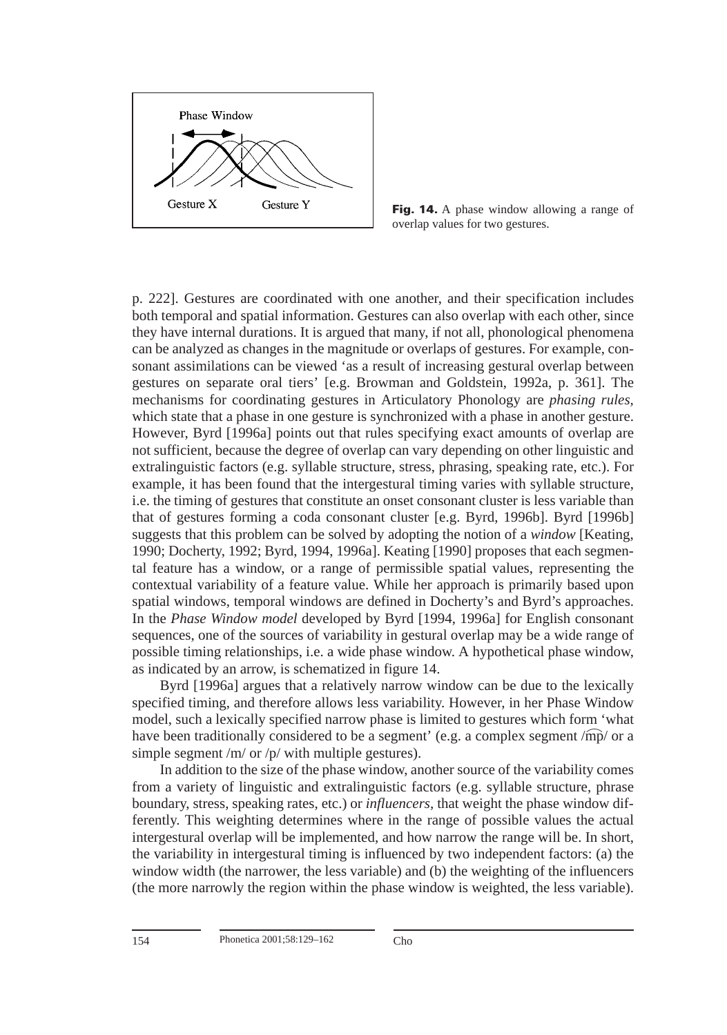

**Fig. 14.** A phase window allowing a range of overlap values for two gestures.

p. 222]. Gestures are coordinated with one another, and their specification includes both temporal and spatial information. Gestures can also overlap with each other, since they have internal durations. It is argued that many, if not all, phonological phenomena can be analyzed as changes in the magnitude or overlaps of gestures. For example, consonant assimilations can be viewed 'as a result of increasing gestural overlap between gestures on separate oral tiers' [e.g. Browman and Goldstein, 1992a, p. 361]. The mechanisms for coordinating gestures in Articulatory Phonology are *phasing rules,* which state that a phase in one gesture is synchronized with a phase in another gesture. However, Byrd [1996a] points out that rules specifying exact amounts of overlap are not sufficient, because the degree of overlap can vary depending on other linguistic and extralinguistic factors (e.g. syllable structure, stress, phrasing, speaking rate, etc.). For example, it has been found that the intergestural timing varies with syllable structure, i.e. the timing of gestures that constitute an onset consonant cluster is less variable than that of gestures forming a coda consonant cluster [e.g. Byrd, 1996b]. Byrd [1996b] suggests that this problem can be solved by adopting the notion of a *window* [Keating, 1990; Docherty, 1992; Byrd, 1994, 1996a]. Keating [1990] proposes that each segmental feature has a window, or a range of permissible spatial values, representing the contextual variability of a feature value. While her approach is primarily based upon spatial windows, temporal windows are defined in Docherty's and Byrd's approaches. In the *Phase Window model* developed by Byrd [1994, 1996a] for English consonant sequences, one of the sources of variability in gestural overlap may be a wide range of possible timing relationships, i.e. a wide phase window. A hypothetical phase window, as indicated by an arrow, is schematized in figure 14.

Byrd [1996a] argues that a relatively narrow window can be due to the lexically specified timing, and therefore allows less variability. However, in her Phase Window model, such a lexically specified narrow phase is limited to gestures which form 'what have been traditionally considered to be a segment' (e.g. a complex segment  $\overline{mp}$ ) or a simple segment /m/ or /p/ with multiple gestures).

In addition to the size of the phase window, another source of the variability comes from a variety of linguistic and extralinguistic factors (e.g. syllable structure, phrase boundary, stress, speaking rates, etc.) or *influencers,* that weight the phase window differently. This weighting determines where in the range of possible values the actual intergestural overlap will be implemented, and how narrow the range will be. In short, the variability in intergestural timing is influenced by two independent factors: (a) the window width (the narrower, the less variable) and (b) the weighting of the influencers (the more narrowly the region within the phase window is weighted, the less variable).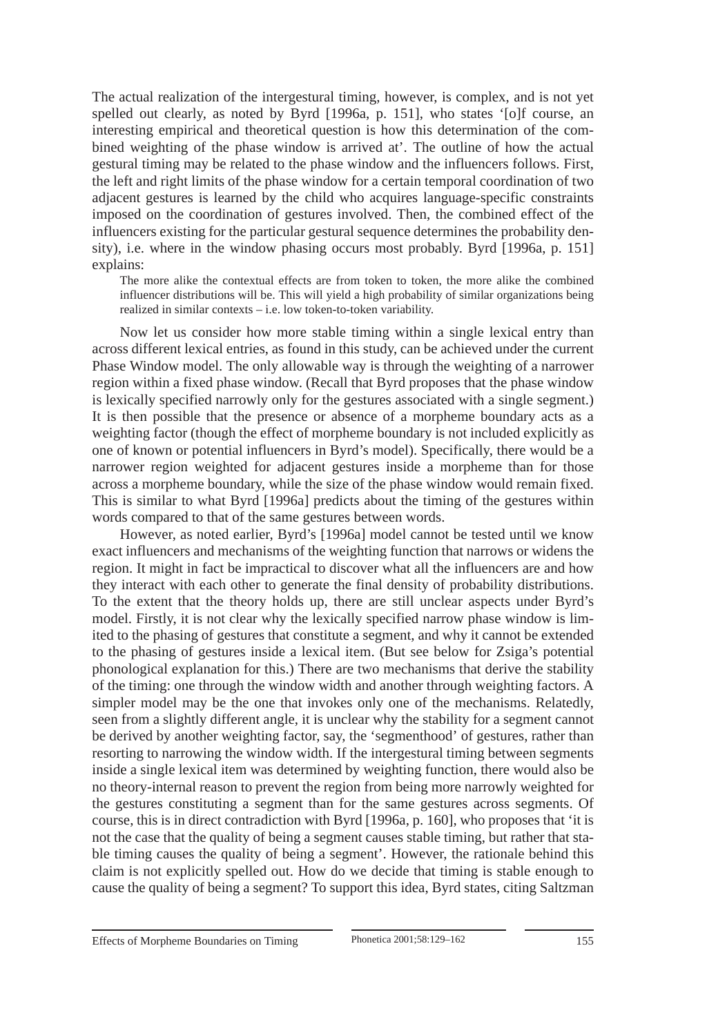The actual realization of the intergestural timing, however, is complex, and is not yet spelled out clearly, as noted by Byrd [1996a, p. 151], who states '[o]f course, an interesting empirical and theoretical question is how this determination of the combined weighting of the phase window is arrived at'. The outline of how the actual gestural timing may be related to the phase window and the influencers follows. First, the left and right limits of the phase window for a certain temporal coordination of two adjacent gestures is learned by the child who acquires language-specific constraints imposed on the coordination of gestures involved. Then, the combined effect of the influencers existing for the particular gestural sequence determines the probability density), i.e. where in the window phasing occurs most probably. Byrd [1996a, p. 151] explains:

The more alike the contextual effects are from token to token, the more alike the combined influencer distributions will be. This will yield a high probability of similar organizations being realized in similar contexts – i.e. low token-to-token variability.

Now let us consider how more stable timing within a single lexical entry than across different lexical entries, as found in this study, can be achieved under the current Phase Window model. The only allowable way is through the weighting of a narrower region within a fixed phase window. (Recall that Byrd proposes that the phase window is lexically specified narrowly only for the gestures associated with a single segment.) It is then possible that the presence or absence of a morpheme boundary acts as a weighting factor (though the effect of morpheme boundary is not included explicitly as one of known or potential influencers in Byrd's model). Specifically, there would be a narrower region weighted for adjacent gestures inside a morpheme than for those across a morpheme boundary, while the size of the phase window would remain fixed. This is similar to what Byrd [1996a] predicts about the timing of the gestures within words compared to that of the same gestures between words.

However, as noted earlier, Byrd's [1996a] model cannot be tested until we know exact influencers and mechanisms of the weighting function that narrows or widens the region. It might in fact be impractical to discover what all the influencers are and how they interact with each other to generate the final density of probability distributions. To the extent that the theory holds up, there are still unclear aspects under Byrd's model. Firstly, it is not clear why the lexically specified narrow phase window is limited to the phasing of gestures that constitute a segment, and why it cannot be extended to the phasing of gestures inside a lexical item. (But see below for Zsiga's potential phonological explanation for this.) There are two mechanisms that derive the stability of the timing: one through the window width and another through weighting factors. A simpler model may be the one that invokes only one of the mechanisms. Relatedly, seen from a slightly different angle, it is unclear why the stability for a segment cannot be derived by another weighting factor, say, the 'segmenthood' of gestures, rather than resorting to narrowing the window width. If the intergestural timing between segments inside a single lexical item was determined by weighting function, there would also be no theory-internal reason to prevent the region from being more narrowly weighted for the gestures constituting a segment than for the same gestures across segments. Of course, this is in direct contradiction with Byrd [1996a, p. 160], who proposes that 'it is not the case that the quality of being a segment causes stable timing, but rather that stable timing causes the quality of being a segment'. However, the rationale behind this claim is not explicitly spelled out. How do we decide that timing is stable enough to cause the quality of being a segment? To support this idea, Byrd states, citing Saltzman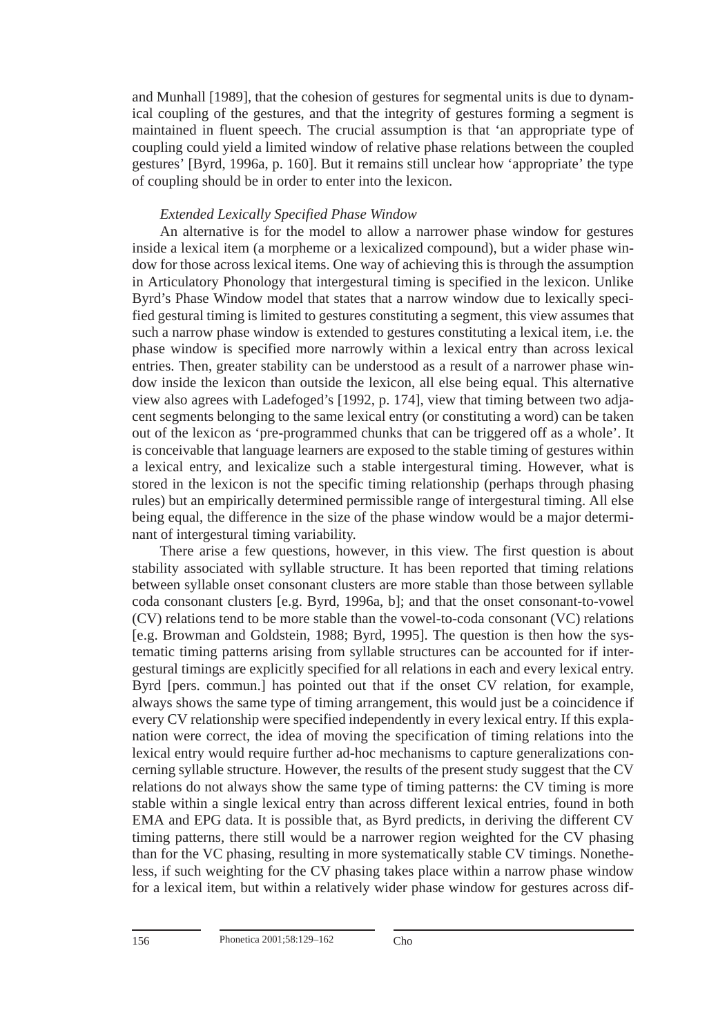and Munhall [1989], that the cohesion of gestures for segmental units is due to dynamical coupling of the gestures, and that the integrity of gestures forming a segment is maintained in fluent speech. The crucial assumption is that 'an appropriate type of coupling could yield a limited window of relative phase relations between the coupled gestures' [Byrd, 1996a, p. 160]. But it remains still unclear how 'appropriate' the type of coupling should be in order to enter into the lexicon.

# *Extended Lexically Specified Phase Window*

An alternative is for the model to allow a narrower phase window for gestures inside a lexical item (a morpheme or a lexicalized compound), but a wider phase window for those across lexical items. One way of achieving this is through the assumption in Articulatory Phonology that intergestural timing is specified in the lexicon. Unlike Byrd's Phase Window model that states that a narrow window due to lexically specified gestural timing is limited to gestures constituting a segment, this view assumes that such a narrow phase window is extended to gestures constituting a lexical item, i.e. the phase window is specified more narrowly within a lexical entry than across lexical entries. Then, greater stability can be understood as a result of a narrower phase window inside the lexicon than outside the lexicon, all else being equal. This alternative view also agrees with Ladefoged's [1992, p. 174], view that timing between two adjacent segments belonging to the same lexical entry (or constituting a word) can be taken out of the lexicon as 'pre-programmed chunks that can be triggered off as a whole'. It is conceivable that language learners are exposed to the stable timing of gestures within a lexical entry, and lexicalize such a stable intergestural timing. However, what is stored in the lexicon is not the specific timing relationship (perhaps through phasing rules) but an empirically determined permissible range of intergestural timing. All else being equal, the difference in the size of the phase window would be a major determinant of intergestural timing variability.

There arise a few questions, however, in this view. The first question is about stability associated with syllable structure. It has been reported that timing relations between syllable onset consonant clusters are more stable than those between syllable coda consonant clusters [e.g. Byrd, 1996a, b]; and that the onset consonant-to-vowel (CV) relations tend to be more stable than the vowel-to-coda consonant (VC) relations [e.g. Browman and Goldstein, 1988; Byrd, 1995]. The question is then how the systematic timing patterns arising from syllable structures can be accounted for if intergestural timings are explicitly specified for all relations in each and every lexical entry. Byrd [pers. commun.] has pointed out that if the onset CV relation, for example, always shows the same type of timing arrangement, this would just be a coincidence if every CV relationship were specified independently in every lexical entry. If this explanation were correct, the idea of moving the specification of timing relations into the lexical entry would require further ad-hoc mechanisms to capture generalizations concerning syllable structure. However, the results of the present study suggest that the CV relations do not always show the same type of timing patterns: the CV timing is more stable within a single lexical entry than across different lexical entries, found in both EMA and EPG data. It is possible that, as Byrd predicts, in deriving the different CV timing patterns, there still would be a narrower region weighted for the CV phasing than for the VC phasing, resulting in more systematically stable CV timings. Nonetheless, if such weighting for the CV phasing takes place within a narrow phase window for a lexical item, but within a relatively wider phase window for gestures across dif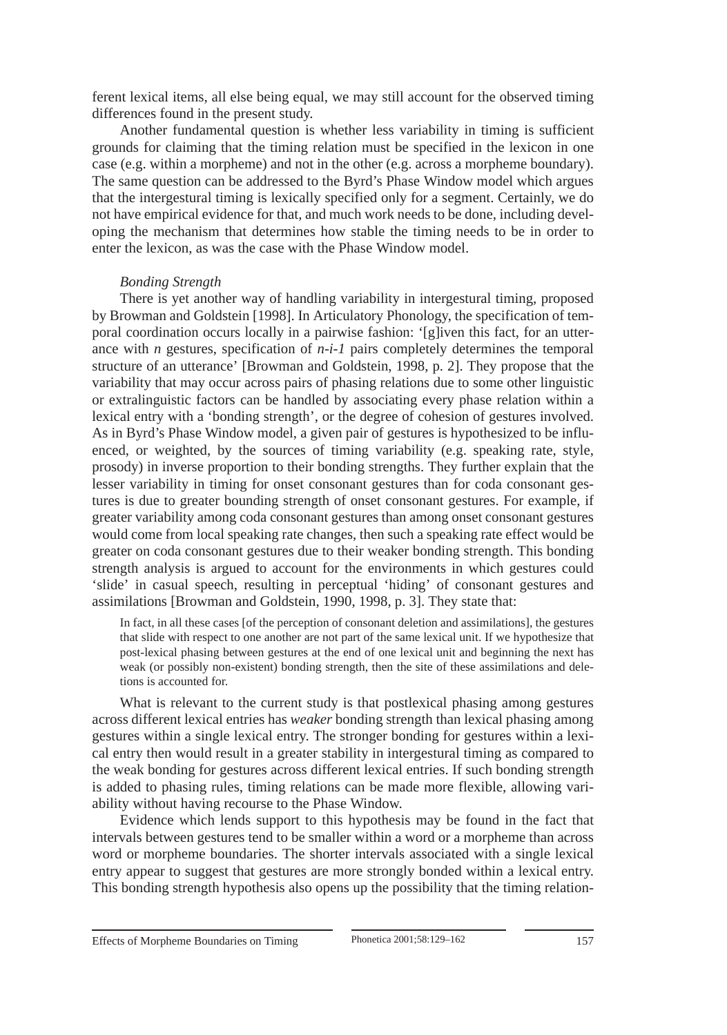ferent lexical items, all else being equal, we may still account for the observed timing differences found in the present study.

Another fundamental question is whether less variability in timing is sufficient grounds for claiming that the timing relation must be specified in the lexicon in one case (e.g. within a morpheme) and not in the other (e.g. across a morpheme boundary). The same question can be addressed to the Byrd's Phase Window model which argues that the intergestural timing is lexically specified only for a segment. Certainly, we do not have empirical evidence for that, and much work needs to be done, including developing the mechanism that determines how stable the timing needs to be in order to enter the lexicon, as was the case with the Phase Window model.

# *Bonding Strength*

There is yet another way of handling variability in intergestural timing, proposed by Browman and Goldstein [1998]. In Articulatory Phonology, the specification of temporal coordination occurs locally in a pairwise fashion: '[g]iven this fact, for an utterance with *n* gestures, specification of *n-i-1* pairs completely determines the temporal structure of an utterance' [Browman and Goldstein, 1998, p. 2]. They propose that the variability that may occur across pairs of phasing relations due to some other linguistic or extralinguistic factors can be handled by associating every phase relation within a lexical entry with a 'bonding strength', or the degree of cohesion of gestures involved. As in Byrd's Phase Window model, a given pair of gestures is hypothesized to be influenced, or weighted, by the sources of timing variability (e.g. speaking rate, style, prosody) in inverse proportion to their bonding strengths. They further explain that the lesser variability in timing for onset consonant gestures than for coda consonant gestures is due to greater bounding strength of onset consonant gestures. For example, if greater variability among coda consonant gestures than among onset consonant gestures would come from local speaking rate changes, then such a speaking rate effect would be greater on coda consonant gestures due to their weaker bonding strength. This bonding strength analysis is argued to account for the environments in which gestures could 'slide' in casual speech, resulting in perceptual 'hiding' of consonant gestures and assimilations [Browman and Goldstein, 1990, 1998, p. 3]. They state that:

In fact, in all these cases [of the perception of consonant deletion and assimilations], the gestures that slide with respect to one another are not part of the same lexical unit. If we hypothesize that post-lexical phasing between gestures at the end of one lexical unit and beginning the next has weak (or possibly non-existent) bonding strength, then the site of these assimilations and deletions is accounted for.

What is relevant to the current study is that postlexical phasing among gestures across different lexical entries has *weaker* bonding strength than lexical phasing among gestures within a single lexical entry. The stronger bonding for gestures within a lexical entry then would result in a greater stability in intergestural timing as compared to the weak bonding for gestures across different lexical entries. If such bonding strength is added to phasing rules, timing relations can be made more flexible, allowing variability without having recourse to the Phase Window.

Evidence which lends support to this hypothesis may be found in the fact that intervals between gestures tend to be smaller within a word or a morpheme than across word or morpheme boundaries. The shorter intervals associated with a single lexical entry appear to suggest that gestures are more strongly bonded within a lexical entry. This bonding strength hypothesis also opens up the possibility that the timing relation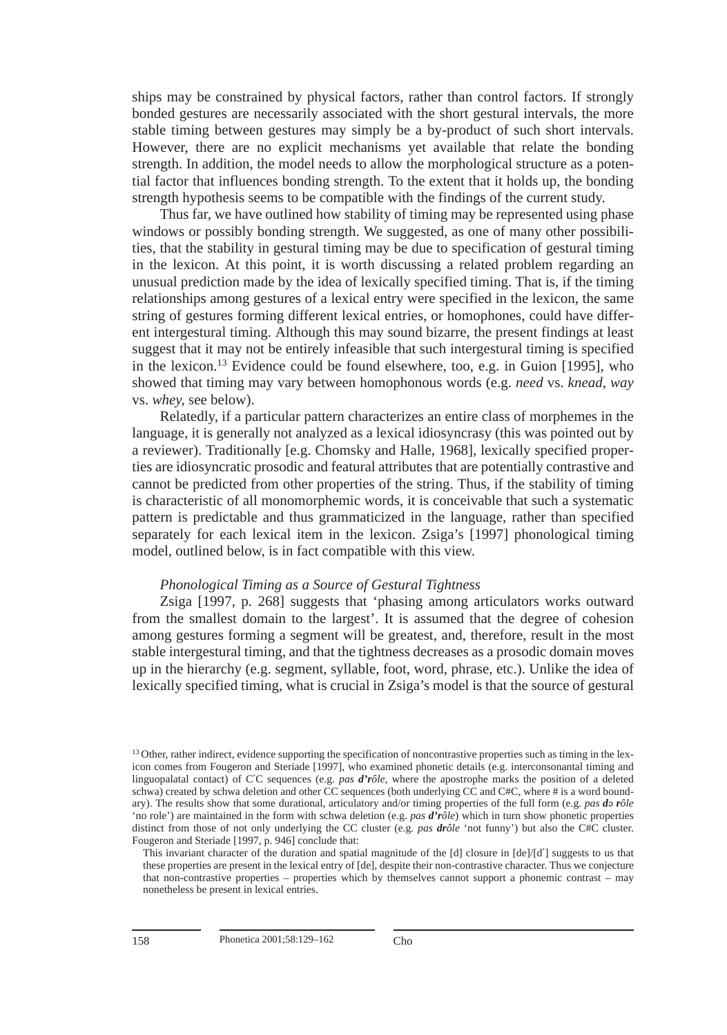ships may be constrained by physical factors, rather than control factors. If strongly bonded gestures are necessarily associated with the short gestural intervals, the more stable timing between gestures may simply be a by-product of such short intervals. However, there are no explicit mechanisms yet available that relate the bonding strength. In addition, the model needs to allow the morphological structure as a potential factor that influences bonding strength. To the extent that it holds up, the bonding strength hypothesis seems to be compatible with the findings of the current study.

Thus far, we have outlined how stability of timing may be represented using phase windows or possibly bonding strength. We suggested, as one of many other possibilities, that the stability in gestural timing may be due to specification of gestural timing in the lexicon. At this point, it is worth discussing a related problem regarding an unusual prediction made by the idea of lexically specified timing. That is, if the timing relationships among gestures of a lexical entry were specified in the lexicon, the same string of gestures forming different lexical entries, or homophones, could have different intergestural timing. Although this may sound bizarre, the present findings at least suggest that it may not be entirely infeasible that such intergestural timing is specified in the lexicon.13 Evidence could be found elsewhere, too, e.g. in Guion [1995], who showed that timing may vary between homophonous words (e.g. *need* vs. *knead, way* vs. *whey,* see below).

Relatedly, if a particular pattern characterizes an entire class of morphemes in the language, it is generally not analyzed as a lexical idiosyncrasy (this was pointed out by a reviewer). Traditionally [e.g. Chomsky and Halle, 1968], lexically specified properties are idiosyncratic prosodic and featural attributes that are potentially contrastive and cannot be predicted from other properties of the string. Thus, if the stability of timing is characteristic of all monomorphemic words, it is conceivable that such a systematic pattern is predictable and thus grammaticized in the language, rather than specified separately for each lexical item in the lexicon. Zsiga's [1997] phonological timing model, outlined below, is in fact compatible with this view.

# *Phonological Timing as a Source of Gestural Tightness*

Zsiga [1997, p. 268] suggests that 'phasing among articulators works outward from the smallest domain to the largest'. It is assumed that the degree of cohesion among gestures forming a segment will be greatest, and, therefore, result in the most stable intergestural timing, and that the tightness decreases as a prosodic domain moves up in the hierarchy (e.g. segment, syllable, foot, word, phrase, etc.). Unlike the idea of lexically specified timing, what is crucial in Zsiga's model is that the source of gestural

<sup>&</sup>lt;sup>13</sup> Other, rather indirect, evidence supporting the specification of noncontrastive properties such as timing in the lexicon comes from Fougeron and Steriade [1997], who examined phonetic details (e.g. interconsonantal timing and linguopalatal contact) of C′C sequences (e.g. *pas d'rôle,* where the apostrophe marks the position of a deleted schwa) created by schwa deletion and other CC sequences (both underlying CC and C#C, where # is a word boundary). The results show that some durational, articulatory and/or timing properties of the full form (e.g. *pas d* a rôle 'no role') are maintained in the form with schwa deletion (e.g. *pas d'rôle*) which in turn show phonetic properties distinct from those of not only underlying the CC cluster (e.g. *pas drôle* 'not funny') but also the C#C cluster. Fougeron and Steriade [1997, p. 946] conclude that:

This invariant character of the duration and spatial magnitude of the [d] closure in [de]/[d′] suggests to us that these properties are present in the lexical entry of [de], despite their non-contrastive character. Thus we conjecture that non-contrastive properties – properties which by themselves cannot support a phonemic contrast – may nonetheless be present in lexical entries.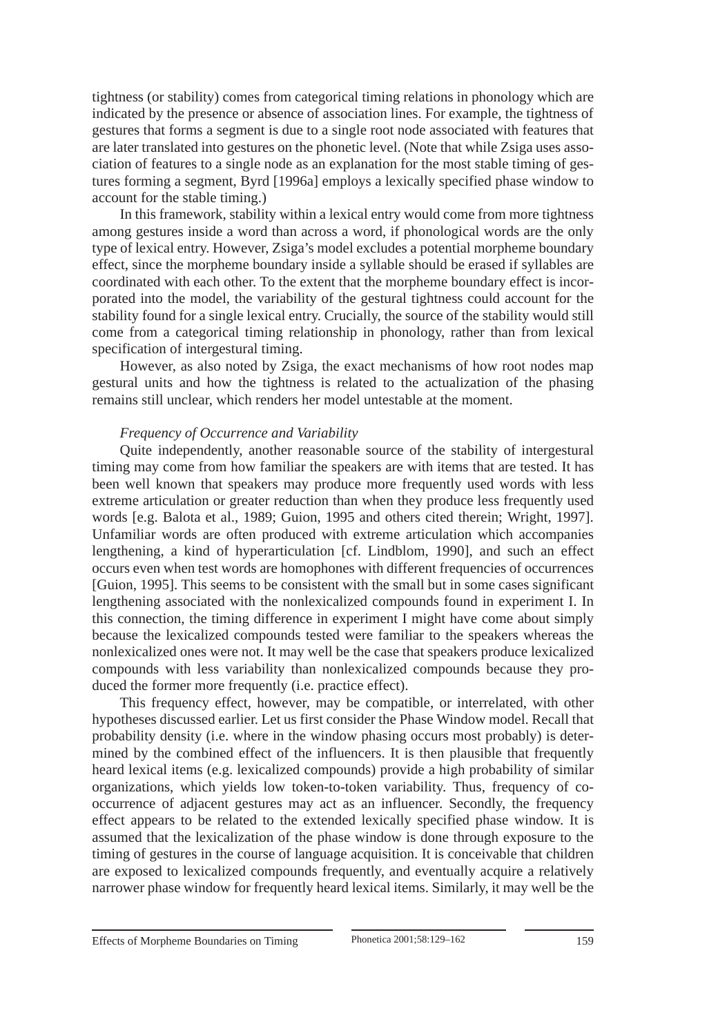tightness (or stability) comes from categorical timing relations in phonology which are indicated by the presence or absence of association lines. For example, the tightness of gestures that forms a segment is due to a single root node associated with features that are later translated into gestures on the phonetic level. (Note that while Zsiga uses association of features to a single node as an explanation for the most stable timing of gestures forming a segment, Byrd [1996a] employs a lexically specified phase window to account for the stable timing.)

In this framework, stability within a lexical entry would come from more tightness among gestures inside a word than across a word, if phonological words are the only type of lexical entry. However, Zsiga's model excludes a potential morpheme boundary effect, since the morpheme boundary inside a syllable should be erased if syllables are coordinated with each other. To the extent that the morpheme boundary effect is incorporated into the model, the variability of the gestural tightness could account for the stability found for a single lexical entry. Crucially, the source of the stability would still come from a categorical timing relationship in phonology, rather than from lexical specification of intergestural timing.

However, as also noted by Zsiga, the exact mechanisms of how root nodes map gestural units and how the tightness is related to the actualization of the phasing remains still unclear, which renders her model untestable at the moment.

# *Frequency of Occurrence and Variability*

Quite independently, another reasonable source of the stability of intergestural timing may come from how familiar the speakers are with items that are tested. It has been well known that speakers may produce more frequently used words with less extreme articulation or greater reduction than when they produce less frequently used words [e.g. Balota et al., 1989; Guion, 1995 and others cited therein; Wright, 1997]. Unfamiliar words are often produced with extreme articulation which accompanies lengthening, a kind of hyperarticulation [cf. Lindblom, 1990], and such an effect occurs even when test words are homophones with different frequencies of occurrences [Guion, 1995]. This seems to be consistent with the small but in some cases significant lengthening associated with the nonlexicalized compounds found in experiment I. In this connection, the timing difference in experiment I might have come about simply because the lexicalized compounds tested were familiar to the speakers whereas the nonlexicalized ones were not. It may well be the case that speakers produce lexicalized compounds with less variability than nonlexicalized compounds because they produced the former more frequently (i.e. practice effect).

This frequency effect, however, may be compatible, or interrelated, with other hypotheses discussed earlier. Let us first consider the Phase Window model. Recall that probability density (i.e. where in the window phasing occurs most probably) is determined by the combined effect of the influencers. It is then plausible that frequently heard lexical items (e.g. lexicalized compounds) provide a high probability of similar organizations, which yields low token-to-token variability. Thus, frequency of cooccurrence of adjacent gestures may act as an influencer. Secondly, the frequency effect appears to be related to the extended lexically specified phase window. It is assumed that the lexicalization of the phase window is done through exposure to the timing of gestures in the course of language acquisition. It is conceivable that children are exposed to lexicalized compounds frequently, and eventually acquire a relatively narrower phase window for frequently heard lexical items. Similarly, it may well be the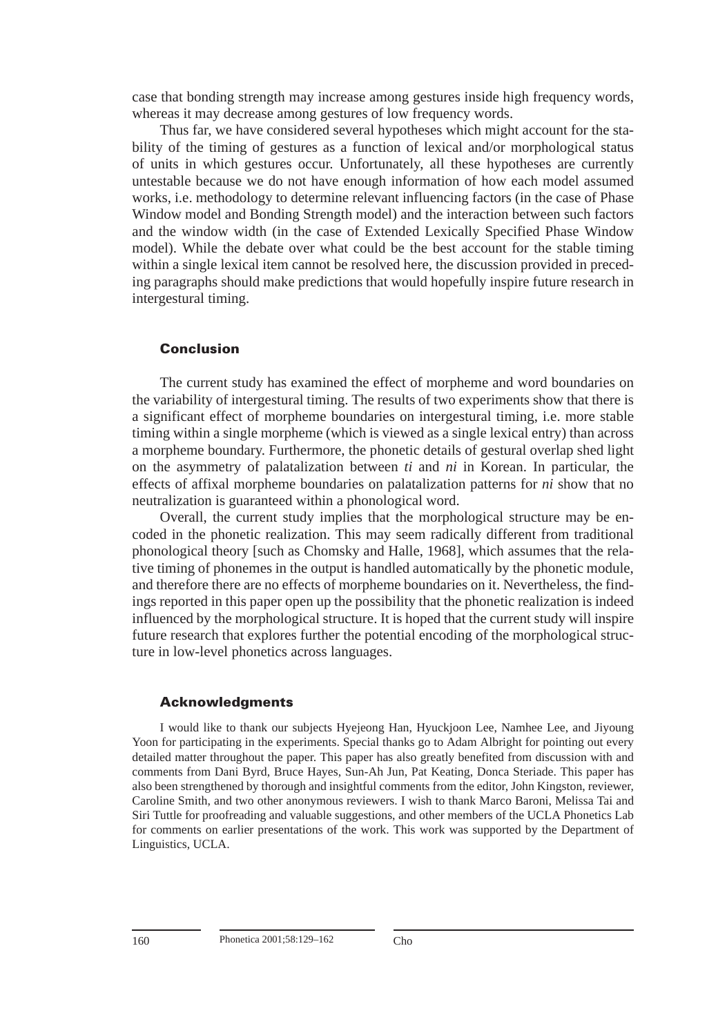case that bonding strength may increase among gestures inside high frequency words, whereas it may decrease among gestures of low frequency words.

Thus far, we have considered several hypotheses which might account for the stability of the timing of gestures as a function of lexical and/or morphological status of units in which gestures occur. Unfortunately, all these hypotheses are currently untestable because we do not have enough information of how each model assumed works, i.e. methodology to determine relevant influencing factors (in the case of Phase Window model and Bonding Strength model) and the interaction between such factors and the window width (in the case of Extended Lexically Specified Phase Window model). While the debate over what could be the best account for the stable timing within a single lexical item cannot be resolved here, the discussion provided in preceding paragraphs should make predictions that would hopefully inspire future research in intergestural timing.

# **Conclusion**

The current study has examined the effect of morpheme and word boundaries on the variability of intergestural timing. The results of two experiments show that there is a significant effect of morpheme boundaries on intergestural timing, i.e. more stable timing within a single morpheme (which is viewed as a single lexical entry) than across a morpheme boundary. Furthermore, the phonetic details of gestural overlap shed light on the asymmetry of palatalization between *ti* and *ni* in Korean. In particular, the effects of affixal morpheme boundaries on palatalization patterns for *ni* show that no neutralization is guaranteed within a phonological word.

Overall, the current study implies that the morphological structure may be encoded in the phonetic realization. This may seem radically different from traditional phonological theory [such as Chomsky and Halle, 1968], which assumes that the relative timing of phonemes in the output is handled automatically by the phonetic module, and therefore there are no effects of morpheme boundaries on it. Nevertheless, the findings reported in this paper open up the possibility that the phonetic realization is indeed influenced by the morphological structure. It is hoped that the current study will inspire future research that explores further the potential encoding of the morphological structure in low-level phonetics across languages.

#### **Acknowledgments**

I would like to thank our subjects Hyejeong Han, Hyuckjoon Lee, Namhee Lee, and Jiyoung Yoon for participating in the experiments. Special thanks go to Adam Albright for pointing out every detailed matter throughout the paper. This paper has also greatly benefited from discussion with and comments from Dani Byrd, Bruce Hayes, Sun-Ah Jun, Pat Keating, Donca Steriade. This paper has also been strengthened by thorough and insightful comments from the editor, John Kingston, reviewer, Caroline Smith, and two other anonymous reviewers. I wish to thank Marco Baroni, Melissa Tai and Siri Tuttle for proofreading and valuable suggestions, and other members of the UCLA Phonetics Lab for comments on earlier presentations of the work. This work was supported by the Department of Linguistics, UCLA.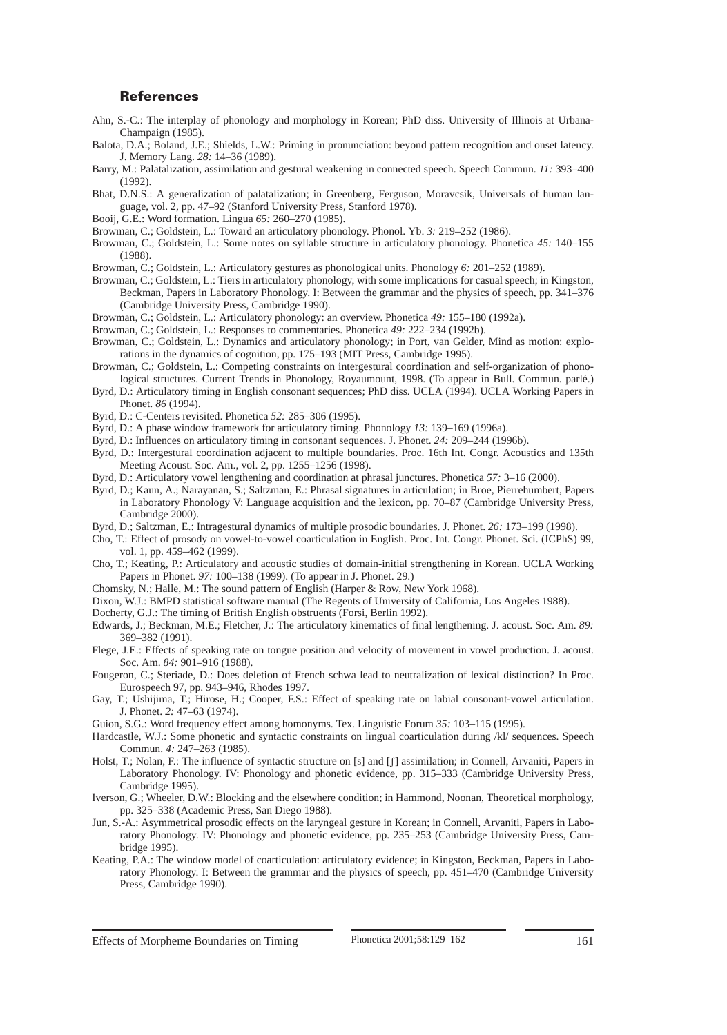#### **References**

- Ahn, S.-C.: The interplay of phonology and morphology in Korean; PhD diss. University of Illinois at Urbana-Champaign (1985).
- Balota, D.A.; Boland, J.E.; Shields, L.W.: Priming in pronunciation: beyond pattern recognition and onset latency. J. Memory Lang. *28:* 14–36 (1989).
- Barry, M.: Palatalization, assimilation and gestural weakening in connected speech. Speech Commun. *11:* 393–400 (1992).
- Bhat, D.N.S.: A generalization of palatalization; in Greenberg, Ferguson, Moravcsik, Universals of human language, vol. 2, pp. 47–92 (Stanford University Press, Stanford 1978).
- Booij, G.E.: Word formation. Lingua *65:* 260–270 (1985).
- Browman, C.; Goldstein, L.: Toward an articulatory phonology. Phonol. Yb. *3:* 219–252 (1986).
- Browman, C.; Goldstein, L.: Some notes on syllable structure in articulatory phonology. Phonetica *45:* 140–155 (1988).
- Browman, C.; Goldstein, L.: Articulatory gestures as phonological units. Phonology *6:* 201–252 (1989).
- Browman, C.; Goldstein, L.: Tiers in articulatory phonology, with some implications for casual speech; in Kingston, Beckman, Papers in Laboratory Phonology. I: Between the grammar and the physics of speech, pp. 341–376 (Cambridge University Press, Cambridge 1990).
- Browman, C.; Goldstein, L.: Articulatory phonology: an overview. Phonetica *49:* 155–180 (1992a).
- Browman, C.; Goldstein, L.: Responses to commentaries. Phonetica *49:* 222–234 (1992b).
- Browman, C.; Goldstein, L.: Dynamics and articulatory phonology; in Port, van Gelder, Mind as motion: explorations in the dynamics of cognition, pp. 175–193 (MIT Press, Cambridge 1995).
- Browman, C.; Goldstein, L.: Competing constraints on intergestural coordination and self-organization of phonological structures. Current Trends in Phonology, Royaumount, 1998. (To appear in Bull. Commun. parlé.)
- Byrd, D.: Articulatory timing in English consonant sequences; PhD diss. UCLA (1994). UCLA Working Papers in Phonet. *86* (1994).
- Byrd, D.: C-Centers revisited. Phonetica *52:* 285–306 (1995).
- Byrd, D.: A phase window framework for articulatory timing. Phonology *13:* 139–169 (1996a).
- Byrd, D.: Influences on articulatory timing in consonant sequences. J. Phonet. *24:* 209–244 (1996b).
- Byrd, D.: Intergestural coordination adjacent to multiple boundaries. Proc. 16th Int. Congr. Acoustics and 135th Meeting Acoust. Soc. Am., vol. 2, pp. 1255–1256 (1998).
- Byrd, D.: Articulatory vowel lengthening and coordination at phrasal junctures. Phonetica *57:* 3–16 (2000).
- Byrd, D.; Kaun, A.; Narayanan, S.; Saltzman, E.: Phrasal signatures in articulation; in Broe, Pierrehumbert, Papers in Laboratory Phonology V: Language acquisition and the lexicon, pp. 70–87 (Cambridge University Press, Cambridge 2000).
- Byrd, D.; Saltzman, E.: Intragestural dynamics of multiple prosodic boundaries. J. Phonet. *26:* 173–199 (1998).
- Cho, T.: Effect of prosody on vowel-to-vowel coarticulation in English. Proc. Int. Congr. Phonet. Sci. (ICPhS) 99, vol. 1, pp. 459–462 (1999).
- Cho, T.; Keating, P.: Articulatory and acoustic studies of domain-initial strengthening in Korean. UCLA Working Papers in Phonet. *97:* 100–138 (1999). (To appear in J. Phonet. 29.)
- Chomsky, N.; Halle, M.: The sound pattern of English (Harper & Row, New York 1968).
- Dixon, W.J.: BMPD statistical software manual (The Regents of University of California, Los Angeles 1988).

Docherty, G.J.: The timing of British English obstruents (Forsi, Berlin 1992).

- Edwards, J.; Beckman, M.E.; Fletcher, J.: The articulatory kinematics of final lengthening. J. acoust. Soc. Am. *89:* 369–382 (1991).
- Flege, J.E.: Effects of speaking rate on tongue position and velocity of movement in vowel production. J. acoust. Soc. Am. *84:* 901–916 (1988).
- Fougeron, C.; Steriade, D.: Does deletion of French schwa lead to neutralization of lexical distinction? In Proc. Eurospeech 97, pp. 943–946, Rhodes 1997.
- Gay, T.; Ushijima, T.; Hirose, H.; Cooper, F.S.: Effect of speaking rate on labial consonant-vowel articulation. J. Phonet. *2:* 47–63 (1974).
- Guion, S.G.: Word frequency effect among homonyms. Tex. Linguistic Forum *35:* 103–115 (1995).
- Hardcastle, W.J.: Some phonetic and syntactic constraints on lingual coarticulation during /kl/ sequences. Speech Commun. *4:* 247–263 (1985).
- Holst, T.; Nolan, F.: The influence of syntactic structure on [s] and [f] assimilation; in Connell, Arvaniti, Papers in Laboratory Phonology. IV: Phonology and phonetic evidence, pp. 315–333 (Cambridge University Press, Cambridge 1995).
- Iverson, G.; Wheeler, D.W.: Blocking and the elsewhere condition; in Hammond, Noonan, Theoretical morphology, pp. 325–338 (Academic Press, San Diego 1988).
- Jun, S.-A.: Asymmetrical prosodic effects on the laryngeal gesture in Korean; in Connell, Arvaniti, Papers in Laboratory Phonology. IV: Phonology and phonetic evidence, pp. 235–253 (Cambridge University Press, Cambridge 1995).
- Keating, P.A.: The window model of coarticulation: articulatory evidence; in Kingston, Beckman, Papers in Laboratory Phonology. I: Between the grammar and the physics of speech, pp. 451–470 (Cambridge University Press, Cambridge 1990).